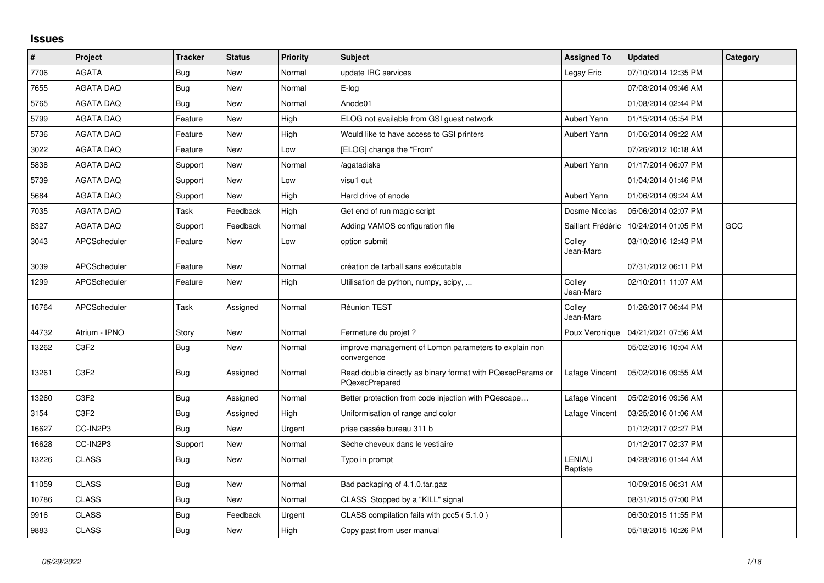## **Issues**

| $\vert$ # | Project             | <b>Tracker</b> | <b>Status</b> | <b>Priority</b> | <b>Subject</b>                                                                      | <b>Assigned To</b>        | <b>Updated</b>      | Category |
|-----------|---------------------|----------------|---------------|-----------------|-------------------------------------------------------------------------------------|---------------------------|---------------------|----------|
| 7706      | <b>AGATA</b>        | Bug            | <b>New</b>    | Normal          | update IRC services                                                                 | Legay Eric                | 07/10/2014 12:35 PM |          |
| 7655      | <b>AGATA DAQ</b>    | Bug            | <b>New</b>    | Normal          | E-log                                                                               |                           | 07/08/2014 09:46 AM |          |
| 5765      | <b>AGATA DAQ</b>    | Bug            | <b>New</b>    | Normal          | Anode01                                                                             |                           | 01/08/2014 02:44 PM |          |
| 5799      | <b>AGATA DAQ</b>    | Feature        | New           | High            | ELOG not available from GSI guest network                                           | Aubert Yann               | 01/15/2014 05:54 PM |          |
| 5736      | <b>AGATA DAQ</b>    | Feature        | New           | High            | Would like to have access to GSI printers                                           | Aubert Yann               | 01/06/2014 09:22 AM |          |
| 3022      | <b>AGATA DAQ</b>    | Feature        | <b>New</b>    | Low             | [ELOG] change the "From"                                                            |                           | 07/26/2012 10:18 AM |          |
| 5838      | <b>AGATA DAQ</b>    | Support        | New           | Normal          | /agatadisks                                                                         | <b>Aubert Yann</b>        | 01/17/2014 06:07 PM |          |
| 5739      | <b>AGATA DAQ</b>    | Support        | <b>New</b>    | Low             | visu1 out                                                                           |                           | 01/04/2014 01:46 PM |          |
| 5684      | <b>AGATA DAQ</b>    | Support        | New           | High            | Hard drive of anode                                                                 | Aubert Yann               | 01/06/2014 09:24 AM |          |
| 7035      | <b>AGATA DAQ</b>    | Task           | Feedback      | High            | Get end of run magic script                                                         | Dosme Nicolas             | 05/06/2014 02:07 PM |          |
| 8327      | <b>AGATA DAQ</b>    | Support        | Feedback      | Normal          | Adding VAMOS configuration file                                                     | Saillant Frédéric         | 10/24/2014 01:05 PM | GCC      |
| 3043      | APCScheduler        | Feature        | New           | Low             | option submit                                                                       | Colley<br>Jean-Marc       | 03/10/2016 12:43 PM |          |
| 3039      | <b>APCScheduler</b> | Feature        | <b>New</b>    | Normal          | création de tarball sans exécutable                                                 |                           | 07/31/2012 06:11 PM |          |
| 1299      | <b>APCScheduler</b> | Feature        | <b>New</b>    | High            | Utilisation de python, numpy, scipy,                                                | Colley<br>Jean-Marc       | 02/10/2011 11:07 AM |          |
| 16764     | APCScheduler        | Task           | Assigned      | Normal          | Réunion TEST                                                                        | Colley<br>Jean-Marc       | 01/26/2017 06:44 PM |          |
| 44732     | Atrium - IPNO       | Story          | <b>New</b>    | Normal          | Fermeture du projet?                                                                | Poux Veronique            | 04/21/2021 07:56 AM |          |
| 13262     | C <sub>3F2</sub>    | Bug            | New           | Normal          | improve management of Lomon parameters to explain non<br>convergence                |                           | 05/02/2016 10:04 AM |          |
| 13261     | C <sub>3F2</sub>    | Bug            | Assigned      | Normal          | Read double directly as binary format with PQexecParams or<br><b>PQexecPrepared</b> | Lafage Vincent            | 05/02/2016 09:55 AM |          |
| 13260     | C <sub>3F2</sub>    | Bug            | Assigned      | Normal          | Better protection from code injection with PQescape                                 | Lafage Vincent            | 05/02/2016 09:56 AM |          |
| 3154      | C <sub>3F2</sub>    | Bug            | Assigned      | High            | Uniformisation of range and color                                                   | Lafage Vincent            | 03/25/2016 01:06 AM |          |
| 16627     | CC-IN2P3            | Bug            | <b>New</b>    | Urgent          | prise cassée bureau 311 b                                                           |                           | 01/12/2017 02:27 PM |          |
| 16628     | CC-IN2P3            | Support        | New           | Normal          | Sèche cheveux dans le vestiaire                                                     |                           | 01/12/2017 02:37 PM |          |
| 13226     | <b>CLASS</b>        | Bug            | New           | Normal          | Typo in prompt                                                                      | LENIAU<br><b>Baptiste</b> | 04/28/2016 01:44 AM |          |
| 11059     | <b>CLASS</b>        | Bug            | <b>New</b>    | Normal          | Bad packaging of 4.1.0.tar.gaz                                                      |                           | 10/09/2015 06:31 AM |          |
| 10786     | <b>CLASS</b>        | Bug            | New           | Normal          | CLASS Stopped by a "KILL" signal                                                    |                           | 08/31/2015 07:00 PM |          |
| 9916      | <b>CLASS</b>        | Bug            | Feedback      | Urgent          | CLASS compilation fails with gcc5 (5.1.0)                                           |                           | 06/30/2015 11:55 PM |          |
| 9883      | <b>CLASS</b>        | Bug            | New           | High            | Copy past from user manual                                                          |                           | 05/18/2015 10:26 PM |          |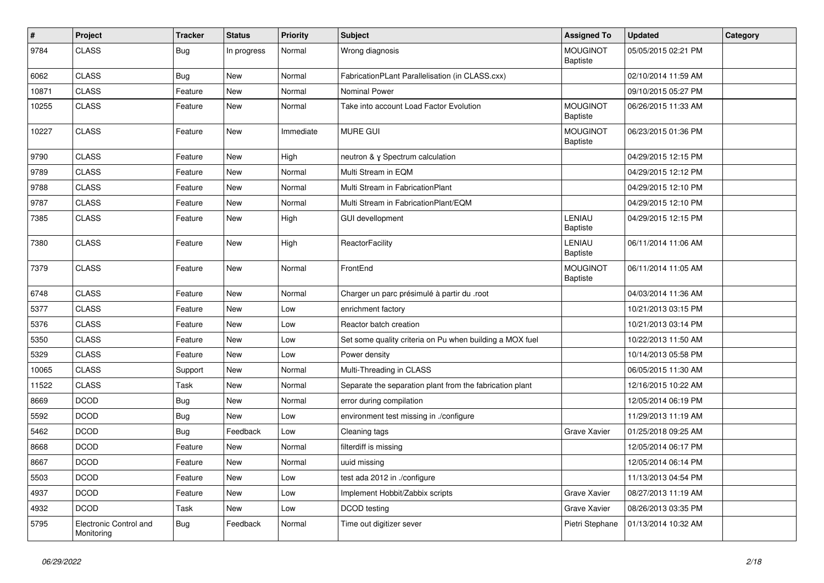| $\vert$ # | Project                              | <b>Tracker</b> | <b>Status</b> | <b>Priority</b> | <b>Subject</b>                                           | <b>Assigned To</b>                 | <b>Updated</b>      | Category |
|-----------|--------------------------------------|----------------|---------------|-----------------|----------------------------------------------------------|------------------------------------|---------------------|----------|
| 9784      | <b>CLASS</b>                         | <b>Bug</b>     | In progress   | Normal          | Wrong diagnosis                                          | <b>MOUGINOT</b><br><b>Baptiste</b> | 05/05/2015 02:21 PM |          |
| 6062      | <b>CLASS</b>                         | Bug            | <b>New</b>    | Normal          | FabricationPLant Parallelisation (in CLASS.cxx)          |                                    | 02/10/2014 11:59 AM |          |
| 10871     | <b>CLASS</b>                         | Feature        | New           | Normal          | <b>Nominal Power</b>                                     |                                    | 09/10/2015 05:27 PM |          |
| 10255     | <b>CLASS</b>                         | Feature        | <b>New</b>    | Normal          | Take into account Load Factor Evolution                  | <b>MOUGINOT</b><br><b>Baptiste</b> | 06/26/2015 11:33 AM |          |
| 10227     | <b>CLASS</b>                         | Feature        | <b>New</b>    | Immediate       | <b>MURE GUI</b>                                          | <b>MOUGINOT</b><br>Baptiste        | 06/23/2015 01:36 PM |          |
| 9790      | <b>CLASS</b>                         | Feature        | <b>New</b>    | High            | neutron & y Spectrum calculation                         |                                    | 04/29/2015 12:15 PM |          |
| 9789      | <b>CLASS</b>                         | Feature        | <b>New</b>    | Normal          | Multi Stream in EQM                                      |                                    | 04/29/2015 12:12 PM |          |
| 9788      | <b>CLASS</b>                         | Feature        | New           | Normal          | Multi Stream in FabricationPlant                         |                                    | 04/29/2015 12:10 PM |          |
| 9787      | <b>CLASS</b>                         | Feature        | New           | Normal          | Multi Stream in FabricationPlant/EQM                     |                                    | 04/29/2015 12:10 PM |          |
| 7385      | <b>CLASS</b>                         | Feature        | New           | High            | <b>GUI devellopment</b>                                  | LENIAU<br><b>Baptiste</b>          | 04/29/2015 12:15 PM |          |
| 7380      | <b>CLASS</b>                         | Feature        | New           | High            | ReactorFacility                                          | LENIAU<br>Baptiste                 | 06/11/2014 11:06 AM |          |
| 7379      | <b>CLASS</b>                         | Feature        | <b>New</b>    | Normal          | FrontEnd                                                 | <b>MOUGINOT</b><br>Baptiste        | 06/11/2014 11:05 AM |          |
| 6748      | <b>CLASS</b>                         | Feature        | New           | Normal          | Charger un parc présimulé à partir du .root              |                                    | 04/03/2014 11:36 AM |          |
| 5377      | <b>CLASS</b>                         | Feature        | New           | Low             | enrichment factory                                       |                                    | 10/21/2013 03:15 PM |          |
| 5376      | <b>CLASS</b>                         | Feature        | <b>New</b>    | Low             | Reactor batch creation                                   |                                    | 10/21/2013 03:14 PM |          |
| 5350      | <b>CLASS</b>                         | Feature        | New           | Low             | Set some quality criteria on Pu when building a MOX fuel |                                    | 10/22/2013 11:50 AM |          |
| 5329      | <b>CLASS</b>                         | Feature        | New           | Low             | Power density                                            |                                    | 10/14/2013 05:58 PM |          |
| 10065     | <b>CLASS</b>                         | Support        | New           | Normal          | Multi-Threading in CLASS                                 |                                    | 06/05/2015 11:30 AM |          |
| 11522     | <b>CLASS</b>                         | Task           | <b>New</b>    | Normal          | Separate the separation plant from the fabrication plant |                                    | 12/16/2015 10:22 AM |          |
| 8669      | <b>DCOD</b>                          | Bug            | <b>New</b>    | Normal          | error during compilation                                 |                                    | 12/05/2014 06:19 PM |          |
| 5592      | <b>DCOD</b>                          | Bug            | <b>New</b>    | Low             | environment test missing in ./configure                  |                                    | 11/29/2013 11:19 AM |          |
| 5462      | <b>DCOD</b>                          | <b>Bug</b>     | Feedback      | Low             | Cleaning tags                                            | Grave Xavier                       | 01/25/2018 09:25 AM |          |
| 8668      | <b>DCOD</b>                          | Feature        | New           | Normal          | filterdiff is missing                                    |                                    | 12/05/2014 06:17 PM |          |
| 8667      | <b>DCOD</b>                          | Feature        | New           | Normal          | uuid missing                                             |                                    | 12/05/2014 06:14 PM |          |
| 5503      | <b>DCOD</b>                          | Feature        | New           | Low             | test ada 2012 in ./configure                             |                                    | 11/13/2013 04:54 PM |          |
| 4937      | <b>DCOD</b>                          | Feature        | New           | Low             | Implement Hobbit/Zabbix scripts                          | Grave Xavier                       | 08/27/2013 11:19 AM |          |
| 4932      | <b>DCOD</b>                          | Task           | New           | Low             | DCOD testing                                             | Grave Xavier                       | 08/26/2013 03:35 PM |          |
| 5795      | Electronic Control and<br>Monitoring | <b>Bug</b>     | Feedback      | Normal          | Time out digitizer sever                                 | Pietri Stephane                    | 01/13/2014 10:32 AM |          |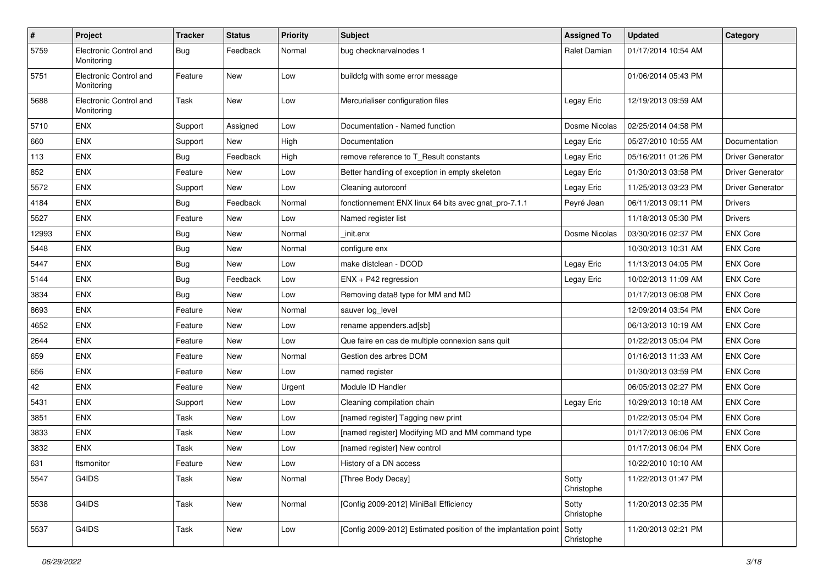| $\sharp$ | Project                              | <b>Tracker</b> | <b>Status</b> | <b>Priority</b> | <b>Subject</b>                                                  | <b>Assigned To</b>  | <b>Updated</b>      | Category                |
|----------|--------------------------------------|----------------|---------------|-----------------|-----------------------------------------------------------------|---------------------|---------------------|-------------------------|
| 5759     | Electronic Control and<br>Monitoring | Bug            | Feedback      | Normal          | bug checknarvalnodes 1                                          | Ralet Damian        | 01/17/2014 10:54 AM |                         |
| 5751     | Electronic Control and<br>Monitoring | Feature        | <b>New</b>    | Low             | buildcfg with some error message                                |                     | 01/06/2014 05:43 PM |                         |
| 5688     | Electronic Control and<br>Monitoring | Task           | <b>New</b>    | Low             | Mercurialiser configuration files                               | Legay Eric          | 12/19/2013 09:59 AM |                         |
| 5710     | ENX                                  | Support        | Assigned      | Low             | Documentation - Named function                                  | Dosme Nicolas       | 02/25/2014 04:58 PM |                         |
| 660      | <b>ENX</b>                           | Support        | New           | High            | Documentation                                                   | Legay Eric          | 05/27/2010 10:55 AM | Documentation           |
| 113      | ENX                                  | Bug            | Feedback      | High            | remove reference to T Result constants                          | Legay Eric          | 05/16/2011 01:26 PM | <b>Driver Generator</b> |
| 852      | <b>ENX</b>                           | Feature        | <b>New</b>    | Low             | Better handling of exception in empty skeleton                  | Legay Eric          | 01/30/2013 03:58 PM | <b>Driver Generator</b> |
| 5572     | ENX                                  | Support        | New           | Low             | Cleaning autorconf                                              | Legay Eric          | 11/25/2013 03:23 PM | <b>Driver Generator</b> |
| 4184     | <b>ENX</b>                           | <b>Bug</b>     | Feedback      | Normal          | fonctionnement ENX linux 64 bits avec gnat_pro-7.1.1            | Peyré Jean          | 06/11/2013 09:11 PM | <b>Drivers</b>          |
| 5527     | <b>ENX</b>                           | Feature        | New           | Low             | Named register list                                             |                     | 11/18/2013 05:30 PM | <b>Drivers</b>          |
| 12993    | <b>ENX</b>                           | Bug            | <b>New</b>    | Normal          | init.enx                                                        | Dosme Nicolas       | 03/30/2016 02:37 PM | <b>ENX Core</b>         |
| 5448     | ENX                                  | Bug            | <b>New</b>    | Normal          | configure enx                                                   |                     | 10/30/2013 10:31 AM | <b>ENX Core</b>         |
| 5447     | ENX                                  | Bug            | <b>New</b>    | Low             | make distclean - DCOD                                           | Legay Eric          | 11/13/2013 04:05 PM | <b>ENX Core</b>         |
| 5144     | <b>ENX</b>                           | Bug            | Feedback      | Low             | ENX + P42 regression                                            | Legay Eric          | 10/02/2013 11:09 AM | <b>ENX Core</b>         |
| 3834     | ENX                                  | Bug            | <b>New</b>    | Low             | Removing data8 type for MM and MD                               |                     | 01/17/2013 06:08 PM | <b>ENX Core</b>         |
| 8693     | ENX                                  | Feature        | <b>New</b>    | Normal          | sauver log_level                                                |                     | 12/09/2014 03:54 PM | <b>ENX Core</b>         |
| 4652     | ENX                                  | Feature        | <b>New</b>    | Low             | rename appenders.ad[sb]                                         |                     | 06/13/2013 10:19 AM | <b>ENX Core</b>         |
| 2644     | <b>ENX</b>                           | Feature        | New           | Low             | Que faire en cas de multiple connexion sans quit                |                     | 01/22/2013 05:04 PM | <b>ENX Core</b>         |
| 659      | <b>ENX</b>                           | Feature        | New           | Normal          | Gestion des arbres DOM                                          |                     | 01/16/2013 11:33 AM | <b>ENX Core</b>         |
| 656      | ENX                                  | Feature        | New           | Low             | named register                                                  |                     | 01/30/2013 03:59 PM | <b>ENX Core</b>         |
| 42       | ENX                                  | Feature        | <b>New</b>    | Urgent          | Module ID Handler                                               |                     | 06/05/2013 02:27 PM | <b>ENX Core</b>         |
| 5431     | <b>ENX</b>                           | Support        | <b>New</b>    | Low             | Cleaning compilation chain                                      | Legay Eric          | 10/29/2013 10:18 AM | <b>ENX Core</b>         |
| 3851     | ENX                                  | Task           | New           | Low             | [named register] Tagging new print                              |                     | 01/22/2013 05:04 PM | <b>ENX Core</b>         |
| 3833     | ENX                                  | Task           | New           | Low             | [named register] Modifying MD and MM command type               |                     | 01/17/2013 06:06 PM | <b>ENX Core</b>         |
| 3832     | ENX                                  | Task           | <b>New</b>    | Low             | [named register] New control                                    |                     | 01/17/2013 06:04 PM | <b>ENX Core</b>         |
| 631      | ftsmonitor                           | Feature        | New           | Low             | History of a DN access                                          |                     | 10/22/2010 10:10 AM |                         |
| 5547     | G4IDS                                | Task           | New           | Normal          | [Three Body Decay]                                              | Sotty<br>Christophe | 11/22/2013 01:47 PM |                         |
| 5538     | G4IDS                                | Task           | New           | Normal          | [Config 2009-2012] MiniBall Efficiency                          | Sotty<br>Christophe | 11/20/2013 02:35 PM |                         |
| 5537     | G4IDS                                | Task           | New           | Low             | [Config 2009-2012] Estimated position of the implantation point | Sotty<br>Christophe | 11/20/2013 02:21 PM |                         |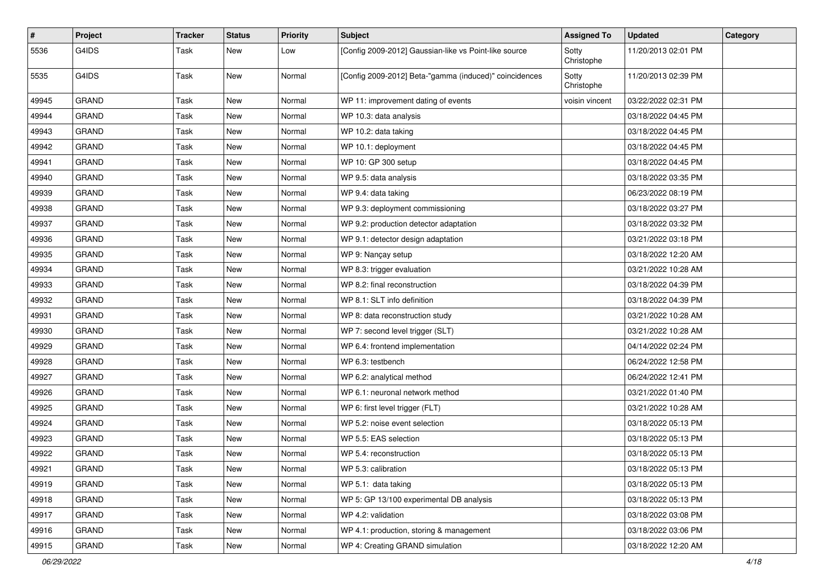| $\sharp$ | Project      | <b>Tracker</b> | <b>Status</b> | <b>Priority</b> | <b>Subject</b>                                         | <b>Assigned To</b>  | <b>Updated</b>      | Category |
|----------|--------------|----------------|---------------|-----------------|--------------------------------------------------------|---------------------|---------------------|----------|
| 5536     | G4IDS        | Task           | New           | Low             | [Config 2009-2012] Gaussian-like vs Point-like source  | Sotty<br>Christophe | 11/20/2013 02:01 PM |          |
| 5535     | G4IDS        | Task           | <b>New</b>    | Normal          | [Config 2009-2012] Beta-"gamma (induced)" coincidences | Sotty<br>Christophe | 11/20/2013 02:39 PM |          |
| 49945    | <b>GRAND</b> | Task           | <b>New</b>    | Normal          | WP 11: improvement dating of events                    | voisin vincent      | 03/22/2022 02:31 PM |          |
| 49944    | <b>GRAND</b> | Task           | <b>New</b>    | Normal          | WP 10.3: data analysis                                 |                     | 03/18/2022 04:45 PM |          |
| 49943    | <b>GRAND</b> | Task           | <b>New</b>    | Normal          | WP 10.2: data taking                                   |                     | 03/18/2022 04:45 PM |          |
| 49942    | <b>GRAND</b> | Task           | New           | Normal          | WP 10.1: deployment                                    |                     | 03/18/2022 04:45 PM |          |
| 49941    | <b>GRAND</b> | Task           | <b>New</b>    | Normal          | WP 10: GP 300 setup                                    |                     | 03/18/2022 04:45 PM |          |
| 49940    | <b>GRAND</b> | Task           | <b>New</b>    | Normal          | WP 9.5: data analysis                                  |                     | 03/18/2022 03:35 PM |          |
| 49939    | <b>GRAND</b> | Task           | <b>New</b>    | Normal          | WP 9.4: data taking                                    |                     | 06/23/2022 08:19 PM |          |
| 49938    | <b>GRAND</b> | Task           | <b>New</b>    | Normal          | WP 9.3: deployment commissioning                       |                     | 03/18/2022 03:27 PM |          |
| 49937    | <b>GRAND</b> | Task           | New           | Normal          | WP 9.2: production detector adaptation                 |                     | 03/18/2022 03:32 PM |          |
| 49936    | <b>GRAND</b> | Task           | <b>New</b>    | Normal          | WP 9.1: detector design adaptation                     |                     | 03/21/2022 03:18 PM |          |
| 49935    | <b>GRAND</b> | Task           | <b>New</b>    | Normal          | WP 9: Nançay setup                                     |                     | 03/18/2022 12:20 AM |          |
| 49934    | <b>GRAND</b> | Task           | <b>New</b>    | Normal          | WP 8.3: trigger evaluation                             |                     | 03/21/2022 10:28 AM |          |
| 49933    | <b>GRAND</b> | Task           | <b>New</b>    | Normal          | WP 8.2: final reconstruction                           |                     | 03/18/2022 04:39 PM |          |
| 49932    | <b>GRAND</b> | Task           | <b>New</b>    | Normal          | WP 8.1: SLT info definition                            |                     | 03/18/2022 04:39 PM |          |
| 49931    | <b>GRAND</b> | Task           | <b>New</b>    | Normal          | WP 8: data reconstruction study                        |                     | 03/21/2022 10:28 AM |          |
| 49930    | <b>GRAND</b> | Task           | <b>New</b>    | Normal          | WP 7: second level trigger (SLT)                       |                     | 03/21/2022 10:28 AM |          |
| 49929    | <b>GRAND</b> | Task           | New           | Normal          | WP 6.4: frontend implementation                        |                     | 04/14/2022 02:24 PM |          |
| 49928    | <b>GRAND</b> | Task           | <b>New</b>    | Normal          | WP 6.3: testbench                                      |                     | 06/24/2022 12:58 PM |          |
| 49927    | <b>GRAND</b> | Task           | <b>New</b>    | Normal          | WP 6.2: analytical method                              |                     | 06/24/2022 12:41 PM |          |
| 49926    | GRAND        | Task           | <b>New</b>    | Normal          | WP 6.1: neuronal network method                        |                     | 03/21/2022 01:40 PM |          |
| 49925    | <b>GRAND</b> | Task           | <b>New</b>    | Normal          | WP 6: first level trigger (FLT)                        |                     | 03/21/2022 10:28 AM |          |
| 49924    | <b>GRAND</b> | Task           | New           | Normal          | WP 5.2: noise event selection                          |                     | 03/18/2022 05:13 PM |          |
| 49923    | <b>GRAND</b> | Task           | <b>New</b>    | Normal          | WP 5.5: EAS selection                                  |                     | 03/18/2022 05:13 PM |          |
| 49922    | GRAND        | Task           | <b>New</b>    | Normal          | WP 5.4: reconstruction                                 |                     | 03/18/2022 05:13 PM |          |
| 49921    | <b>GRAND</b> | Task           | New           | Normal          | WP 5.3: calibration                                    |                     | 03/18/2022 05:13 PM |          |
| 49919    | <b>GRAND</b> | Task           | New           | Normal          | WP 5.1: data taking                                    |                     | 03/18/2022 05:13 PM |          |
| 49918    | GRAND        | Task           | New           | Normal          | WP 5: GP 13/100 experimental DB analysis               |                     | 03/18/2022 05:13 PM |          |
| 49917    | GRAND        | Task           | New           | Normal          | WP 4.2: validation                                     |                     | 03/18/2022 03:08 PM |          |
| 49916    | GRAND        | Task           | New           | Normal          | WP 4.1: production, storing & management               |                     | 03/18/2022 03:06 PM |          |
| 49915    | GRAND        | Task           | New           | Normal          | WP 4: Creating GRAND simulation                        |                     | 03/18/2022 12:20 AM |          |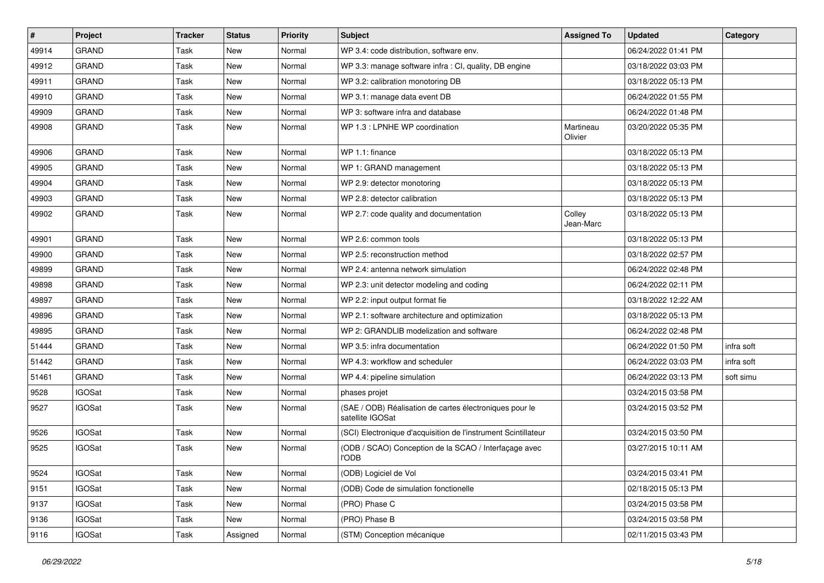| #     | Project       | <b>Tracker</b> | <b>Status</b> | <b>Priority</b> | Subject                                                                     | <b>Assigned To</b>   | <b>Updated</b>      | Category   |
|-------|---------------|----------------|---------------|-----------------|-----------------------------------------------------------------------------|----------------------|---------------------|------------|
| 49914 | <b>GRAND</b>  | Task           | <b>New</b>    | Normal          | WP 3.4: code distribution, software env.                                    |                      | 06/24/2022 01:41 PM |            |
| 49912 | <b>GRAND</b>  | Task           | New           | Normal          | WP 3.3: manage software infra : CI, quality, DB engine                      |                      | 03/18/2022 03:03 PM |            |
| 49911 | <b>GRAND</b>  | Task           | New           | Normal          | WP 3.2: calibration monotoring DB                                           |                      | 03/18/2022 05:13 PM |            |
| 49910 | <b>GRAND</b>  | Task           | <b>New</b>    | Normal          | WP 3.1: manage data event DB                                                |                      | 06/24/2022 01:55 PM |            |
| 49909 | <b>GRAND</b>  | Task           | <b>New</b>    | Normal          | WP 3: software infra and database                                           |                      | 06/24/2022 01:48 PM |            |
| 49908 | <b>GRAND</b>  | Task           | New           | Normal          | WP 1.3 : LPNHE WP coordination                                              | Martineau<br>Olivier | 03/20/2022 05:35 PM |            |
| 49906 | <b>GRAND</b>  | Task           | <b>New</b>    | Normal          | WP 1.1: finance                                                             |                      | 03/18/2022 05:13 PM |            |
| 49905 | <b>GRAND</b>  | <b>Task</b>    | <b>New</b>    | Normal          | WP 1: GRAND management                                                      |                      | 03/18/2022 05:13 PM |            |
| 49904 | <b>GRAND</b>  | Task           | <b>New</b>    | Normal          | WP 2.9: detector monotoring                                                 |                      | 03/18/2022 05:13 PM |            |
| 49903 | <b>GRAND</b>  | Task           | <b>New</b>    | Normal          | WP 2.8: detector calibration                                                |                      | 03/18/2022 05:13 PM |            |
| 49902 | <b>GRAND</b>  | Task           | <b>New</b>    | Normal          | WP 2.7: code quality and documentation                                      | Colley<br>Jean-Marc  | 03/18/2022 05:13 PM |            |
| 49901 | <b>GRAND</b>  | Task           | <b>New</b>    | Normal          | WP 2.6: common tools                                                        |                      | 03/18/2022 05:13 PM |            |
| 49900 | <b>GRAND</b>  | Task           | <b>New</b>    | Normal          | WP 2.5: reconstruction method                                               |                      | 03/18/2022 02:57 PM |            |
| 49899 | <b>GRAND</b>  | <b>Task</b>    | <b>New</b>    | Normal          | WP 2.4: antenna network simulation                                          |                      | 06/24/2022 02:48 PM |            |
| 49898 | <b>GRAND</b>  | Task           | <b>New</b>    | Normal          | WP 2.3: unit detector modeling and coding                                   |                      | 06/24/2022 02:11 PM |            |
| 49897 | <b>GRAND</b>  | Task           | <b>New</b>    | Normal          | WP 2.2: input output format fie                                             |                      | 03/18/2022 12:22 AM |            |
| 49896 | <b>GRAND</b>  | Task           | <b>New</b>    | Normal          | WP 2.1: software architecture and optimization                              |                      | 03/18/2022 05:13 PM |            |
| 49895 | <b>GRAND</b>  | Task           | <b>New</b>    | Normal          | WP 2: GRANDLIB modelization and software                                    |                      | 06/24/2022 02:48 PM |            |
| 51444 | <b>GRAND</b>  | Task           | <b>New</b>    | Normal          | WP 3.5: infra documentation                                                 |                      | 06/24/2022 01:50 PM | infra soft |
| 51442 | <b>GRAND</b>  | <b>Task</b>    | <b>New</b>    | Normal          | WP 4.3: workflow and scheduler                                              |                      | 06/24/2022 03:03 PM | infra soft |
| 51461 | <b>GRAND</b>  | Task           | <b>New</b>    | Normal          | WP 4.4: pipeline simulation                                                 |                      | 06/24/2022 03:13 PM | soft simu  |
| 9528  | <b>IGOSat</b> | Task           | New           | Normal          | phases projet                                                               |                      | 03/24/2015 03:58 PM |            |
| 9527  | <b>IGOSat</b> | <b>Task</b>    | New           | Normal          | (SAE / ODB) Réalisation de cartes électroniques pour le<br>satellite IGOSat |                      | 03/24/2015 03:52 PM |            |
| 9526  | <b>IGOSat</b> | Task           | <b>New</b>    | Normal          | (SCI) Electronique d'acquisition de l'instrument Scintillateur              |                      | 03/24/2015 03:50 PM |            |
| 9525  | <b>IGOSat</b> | Task           | <b>New</b>    | Normal          | (ODB / SCAO) Conception de la SCAO / Interfaçage avec<br><b>I'ODB</b>       |                      | 03/27/2015 10:11 AM |            |
| 9524  | <b>IGOSat</b> | Task           | New           | Normal          | (ODB) Logiciel de Vol                                                       |                      | 03/24/2015 03:41 PM |            |
| 9151  | <b>IGOSat</b> | Task           | New           | Normal          | (ODB) Code de simulation fonctionelle                                       |                      | 02/18/2015 05:13 PM |            |
| 9137  | <b>IGOSat</b> | Task           | New           | Normal          | (PRO) Phase C                                                               |                      | 03/24/2015 03:58 PM |            |
| 9136  | <b>IGOSat</b> | Task           | New           | Normal          | (PRO) Phase B                                                               |                      | 03/24/2015 03:58 PM |            |
| 9116  | <b>IGOSat</b> | Task           | Assigned      | Normal          | (STM) Conception mécanique                                                  |                      | 02/11/2015 03:43 PM |            |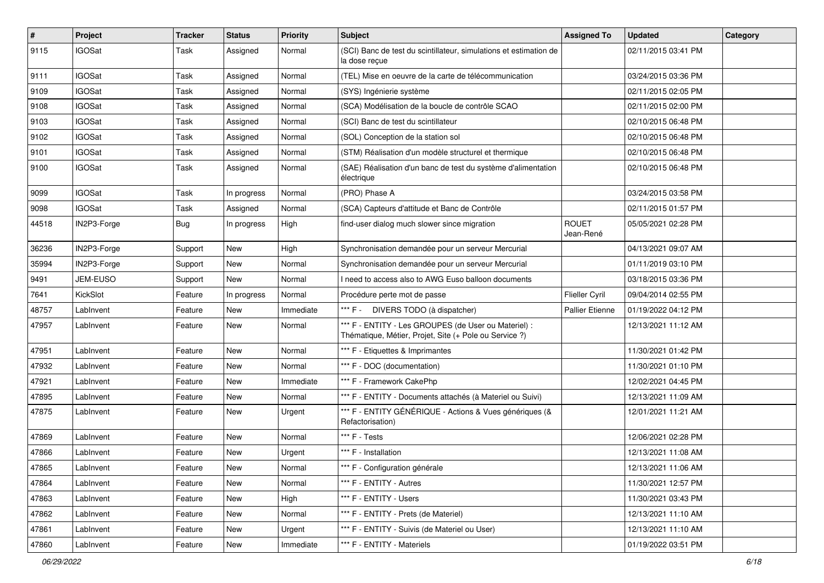| $\sharp$ | Project       | <b>Tracker</b> | <b>Status</b> | <b>Priority</b> | <b>Subject</b>                                                                                                 | <b>Assigned To</b>        | <b>Updated</b>      | Category |
|----------|---------------|----------------|---------------|-----------------|----------------------------------------------------------------------------------------------------------------|---------------------------|---------------------|----------|
| 9115     | <b>IGOSat</b> | Task           | Assigned      | Normal          | (SCI) Banc de test du scintillateur, simulations et estimation de<br>la dose reçue                             |                           | 02/11/2015 03:41 PM |          |
| 9111     | <b>IGOSat</b> | Task           | Assigned      | Normal          | (TEL) Mise en oeuvre de la carte de télécommunication                                                          |                           | 03/24/2015 03:36 PM |          |
| 9109     | <b>IGOSat</b> | Task           | Assigned      | Normal          | (SYS) Ingénierie système                                                                                       |                           | 02/11/2015 02:05 PM |          |
| 9108     | <b>IGOSat</b> | Task           | Assigned      | Normal          | (SCA) Modélisation de la boucle de contrôle SCAO                                                               |                           | 02/11/2015 02:00 PM |          |
| 9103     | <b>IGOSat</b> | Task           | Assigned      | Normal          | (SCI) Banc de test du scintillateur                                                                            |                           | 02/10/2015 06:48 PM |          |
| 9102     | <b>IGOSat</b> | Task           | Assigned      | Normal          | (SOL) Conception de la station sol                                                                             |                           | 02/10/2015 06:48 PM |          |
| 9101     | <b>IGOSat</b> | Task           | Assigned      | Normal          | (STM) Réalisation d'un modèle structurel et thermique                                                          |                           | 02/10/2015 06:48 PM |          |
| 9100     | <b>IGOSat</b> | Task           | Assigned      | Normal          | (SAE) Réalisation d'un banc de test du système d'alimentation<br>électrique                                    |                           | 02/10/2015 06:48 PM |          |
| 9099     | <b>IGOSat</b> | Task           | In progress   | Normal          | (PRO) Phase A                                                                                                  |                           | 03/24/2015 03:58 PM |          |
| 9098     | <b>IGOSat</b> | Task           | Assigned      | Normal          | (SCA) Capteurs d'attitude et Banc de Contrôle                                                                  |                           | 02/11/2015 01:57 PM |          |
| 44518    | IN2P3-Forge   | Bug            | In progress   | High            | find-user dialog much slower since migration                                                                   | <b>ROUET</b><br>Jean-René | 05/05/2021 02:28 PM |          |
| 36236    | IN2P3-Forge   | Support        | <b>New</b>    | High            | Synchronisation demandée pour un serveur Mercurial                                                             |                           | 04/13/2021 09:07 AM |          |
| 35994    | IN2P3-Forge   | Support        | New           | Normal          | Synchronisation demandée pour un serveur Mercurial                                                             |                           | 01/11/2019 03:10 PM |          |
| 9491     | JEM-EUSO      | Support        | <b>New</b>    | Normal          | need to access also to AWG Euso balloon documents                                                              |                           | 03/18/2015 03:36 PM |          |
| 7641     | KickSlot      | Feature        | In progress   | Normal          | Procédure perte mot de passe                                                                                   | Flieller Cyril            | 09/04/2014 02:55 PM |          |
| 48757    | LabInvent     | Feature        | New           | Immediate       | *** F - DIVERS TODO (à dispatcher)                                                                             | <b>Pallier Etienne</b>    | 01/19/2022 04:12 PM |          |
| 47957    | LabInvent     | Feature        | New           | Normal          | *** F - ENTITY - Les GROUPES (de User ou Materiel) :<br>Thématique, Métier, Projet, Site (+ Pole ou Service ?) |                           | 12/13/2021 11:12 AM |          |
| 47951    | LabInvent     | Feature        | <b>New</b>    | Normal          | *** F - Etiquettes & Imprimantes                                                                               |                           | 11/30/2021 01:42 PM |          |
| 47932    | LabInvent     | Feature        | <b>New</b>    | Normal          | *** F - DOC (documentation)                                                                                    |                           | 11/30/2021 01:10 PM |          |
| 47921    | LabInvent     | Feature        | New           | Immediate       | *** F - Framework CakePhp                                                                                      |                           | 12/02/2021 04:45 PM |          |
| 47895    | LabInvent     | Feature        | New           | Normal          | *** F - ENTITY - Documents attachés (à Materiel ou Suivi)                                                      |                           | 12/13/2021 11:09 AM |          |
| 47875    | LabInvent     | Feature        | <b>New</b>    | Urgent          | *** F - ENTITY GÉNÉRIQUE - Actions & Vues génériques (&<br>Refactorisation)                                    |                           | 12/01/2021 11:21 AM |          |
| 47869    | LabInvent     | Feature        | <b>New</b>    | Normal          | *** F - Tests                                                                                                  |                           | 12/06/2021 02:28 PM |          |
| 47866    | LabInvent     | Feature        | New           | Urgent          | *** F - Installation                                                                                           |                           | 12/13/2021 11:08 AM |          |
| 47865    | LabInvent     | Feature        | New           | Normal          | *** F - Configuration générale                                                                                 |                           | 12/13/2021 11:06 AM |          |
| 47864    | LabInvent     | Feature        | New           | Normal          | *** F - ENTITY - Autres                                                                                        |                           | 11/30/2021 12:57 PM |          |
| 47863    | LabInvent     | Feature        | New           | High            | *** F - ENTITY - Users                                                                                         |                           | 11/30/2021 03:43 PM |          |
| 47862    | LabInvent     | Feature        | New           | Normal          | *** F - ENTITY - Prets (de Materiel)                                                                           |                           | 12/13/2021 11:10 AM |          |
| 47861    | LabInvent     | Feature        | New           | Urgent          | *** F - ENTITY - Suivis (de Materiel ou User)                                                                  |                           | 12/13/2021 11:10 AM |          |
| 47860    | LabInvent     | Feature        | New           | Immediate       | *** F - ENTITY - Materiels                                                                                     |                           | 01/19/2022 03:51 PM |          |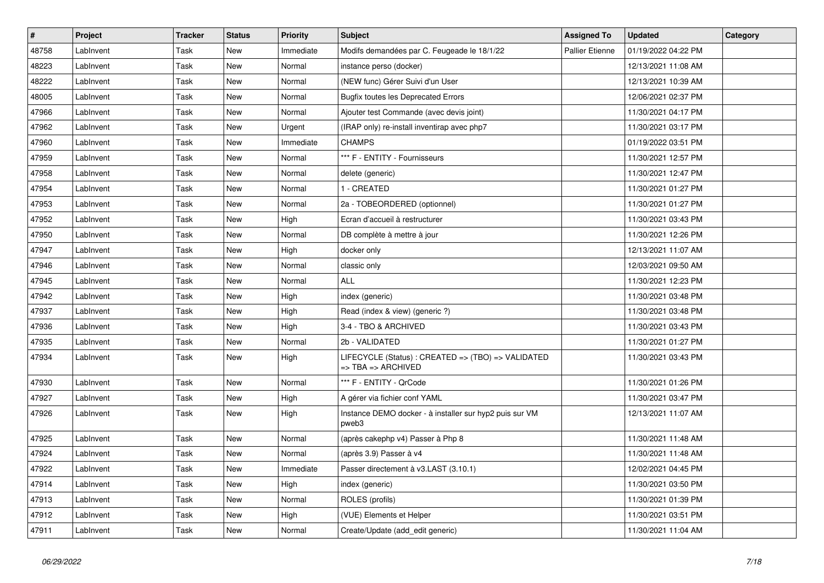| $\vert$ # | Project   | <b>Tracker</b> | <b>Status</b> | <b>Priority</b> | <b>Subject</b>                                                          | <b>Assigned To</b>     | <b>Updated</b>      | Category |
|-----------|-----------|----------------|---------------|-----------------|-------------------------------------------------------------------------|------------------------|---------------------|----------|
| 48758     | LabInvent | Task           | <b>New</b>    | Immediate       | Modifs demandées par C. Feugeade le 18/1/22                             | <b>Pallier Etienne</b> | 01/19/2022 04:22 PM |          |
| 48223     | LabInvent | Task           | <b>New</b>    | Normal          | instance perso (docker)                                                 |                        | 12/13/2021 11:08 AM |          |
| 48222     | LabInvent | Task           | <b>New</b>    | Normal          | (NEW func) Gérer Suivi d'un User                                        |                        | 12/13/2021 10:39 AM |          |
| 48005     | LabInvent | Task           | <b>New</b>    | Normal          | <b>Bugfix toutes les Deprecated Errors</b>                              |                        | 12/06/2021 02:37 PM |          |
| 47966     | LabInvent | Task           | <b>New</b>    | Normal          | Ajouter test Commande (avec devis joint)                                |                        | 11/30/2021 04:17 PM |          |
| 47962     | LabInvent | Task           | <b>New</b>    | Urgent          | (IRAP only) re-install inventirap avec php7                             |                        | 11/30/2021 03:17 PM |          |
| 47960     | LabInvent | Task           | <b>New</b>    | Immediate       | <b>CHAMPS</b>                                                           |                        | 01/19/2022 03:51 PM |          |
| 47959     | LabInvent | Task           | <b>New</b>    | Normal          | *** F - ENTITY - Fournisseurs                                           |                        | 11/30/2021 12:57 PM |          |
| 47958     | LabInvent | Task           | <b>New</b>    | Normal          | delete (generic)                                                        |                        | 11/30/2021 12:47 PM |          |
| 47954     | LabInvent | Task           | <b>New</b>    | Normal          | 1 - CREATED                                                             |                        | 11/30/2021 01:27 PM |          |
| 47953     | LabInvent | Task           | <b>New</b>    | Normal          | 2a - TOBEORDERED (optionnel)                                            |                        | 11/30/2021 01:27 PM |          |
| 47952     | LabInvent | Task           | <b>New</b>    | High            | Ecran d'accueil à restructurer                                          |                        | 11/30/2021 03:43 PM |          |
| 47950     | LabInvent | Task           | New           | Normal          | DB complète à mettre à jour                                             |                        | 11/30/2021 12:26 PM |          |
| 47947     | LabInvent | Task           | <b>New</b>    | High            | docker only                                                             |                        | 12/13/2021 11:07 AM |          |
| 47946     | LabInvent | Task           | New           | Normal          | classic only                                                            |                        | 12/03/2021 09:50 AM |          |
| 47945     | LabInvent | Task           | <b>New</b>    | Normal          | <b>ALL</b>                                                              |                        | 11/30/2021 12:23 PM |          |
| 47942     | LabInvent | Task           | <b>New</b>    | High            | index (generic)                                                         |                        | 11/30/2021 03:48 PM |          |
| 47937     | LabInvent | Task           | <b>New</b>    | High            | Read (index & view) (generic ?)                                         |                        | 11/30/2021 03:48 PM |          |
| 47936     | LabInvent | Task           | <b>New</b>    | High            | 3-4 - TBO & ARCHIVED                                                    |                        | 11/30/2021 03:43 PM |          |
| 47935     | LabInvent | Task           | <b>New</b>    | Normal          | 2b - VALIDATED                                                          |                        | 11/30/2021 01:27 PM |          |
| 47934     | LabInvent | Task           | <b>New</b>    | High            | LIFECYCLE (Status): CREATED => (TBO) => VALIDATED<br>=> TBA => ARCHIVED |                        | 11/30/2021 03:43 PM |          |
| 47930     | LabInvent | Task           | <b>New</b>    | Normal          | *** F - ENTITY - QrCode                                                 |                        | 11/30/2021 01:26 PM |          |
| 47927     | LabInvent | Task           | <b>New</b>    | High            | A gérer via fichier conf YAML                                           |                        | 11/30/2021 03:47 PM |          |
| 47926     | LabInvent | Task           | <b>New</b>    | High            | Instance DEMO docker - à installer sur hyp2 puis sur VM<br>pweb3        |                        | 12/13/2021 11:07 AM |          |
| 47925     | LabInvent | Task           | <b>New</b>    | Normal          | (après cakephp v4) Passer à Php 8                                       |                        | 11/30/2021 11:48 AM |          |
| 47924     | LabInvent | Task           | <b>New</b>    | Normal          | (après 3.9) Passer à v4                                                 |                        | 11/30/2021 11:48 AM |          |
| 47922     | LabInvent | Task           | <b>New</b>    | Immediate       | Passer directement à v3.LAST (3.10.1)                                   |                        | 12/02/2021 04:45 PM |          |
| 47914     | LabInvent | Task           | <b>New</b>    | High            | index (generic)                                                         |                        | 11/30/2021 03:50 PM |          |
| 47913     | LabInvent | Task           | <b>New</b>    | Normal          | ROLES (profils)                                                         |                        | 11/30/2021 01:39 PM |          |
| 47912     | LabInvent | Task           | <b>New</b>    | High            | (VUE) Elements et Helper                                                |                        | 11/30/2021 03:51 PM |          |
| 47911     | LabInvent | Task           | <b>New</b>    | Normal          | Create/Update (add_edit generic)                                        |                        | 11/30/2021 11:04 AM |          |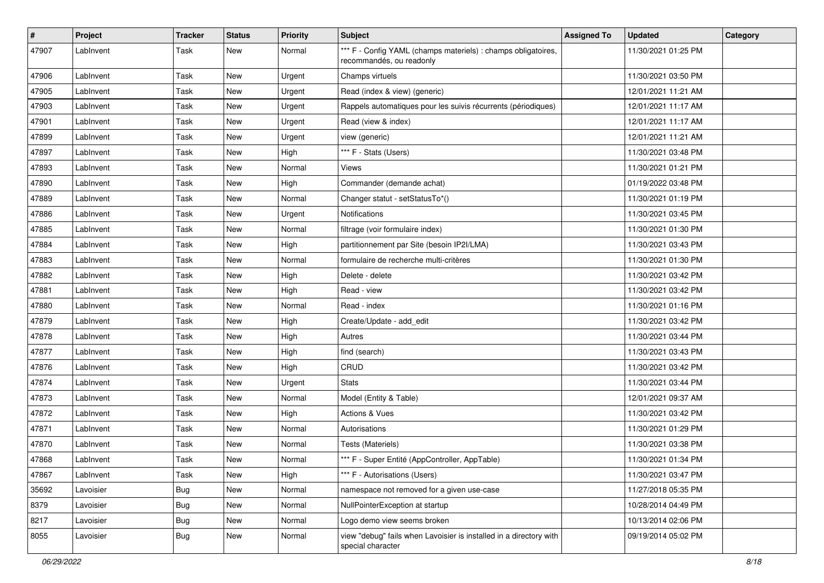| #     | Project   | <b>Tracker</b> | <b>Status</b> | <b>Priority</b> | <b>Subject</b>                                                                            | <b>Assigned To</b> | <b>Updated</b>      | Category |
|-------|-----------|----------------|---------------|-----------------|-------------------------------------------------------------------------------------------|--------------------|---------------------|----------|
| 47907 | LabInvent | Task           | <b>New</b>    | Normal          | *** F - Config YAML (champs materiels) : champs obligatoires,<br>recommandés, ou readonly |                    | 11/30/2021 01:25 PM |          |
| 47906 | LabInvent | Task           | New           | Urgent          | Champs virtuels                                                                           |                    | 11/30/2021 03:50 PM |          |
| 47905 | LabInvent | Task           | <b>New</b>    | Urgent          | Read (index & view) (generic)                                                             |                    | 12/01/2021 11:21 AM |          |
| 47903 | LabInvent | Task           | <b>New</b>    | Urgent          | Rappels automatiques pour les suivis récurrents (périodiques)                             |                    | 12/01/2021 11:17 AM |          |
| 47901 | LabInvent | Task           | <b>New</b>    | Urgent          | Read (view & index)                                                                       |                    | 12/01/2021 11:17 AM |          |
| 47899 | LabInvent | Task           | <b>New</b>    | Urgent          | view (generic)                                                                            |                    | 12/01/2021 11:21 AM |          |
| 47897 | LabInvent | Task           | New           | High            | *** F - Stats (Users)                                                                     |                    | 11/30/2021 03:48 PM |          |
| 47893 | LabInvent | Task           | <b>New</b>    | Normal          | Views                                                                                     |                    | 11/30/2021 01:21 PM |          |
| 47890 | LabInvent | Task           | <b>New</b>    | High            | Commander (demande achat)                                                                 |                    | 01/19/2022 03:48 PM |          |
| 47889 | LabInvent | Task           | <b>New</b>    | Normal          | Changer statut - setStatusTo*()                                                           |                    | 11/30/2021 01:19 PM |          |
| 47886 | LabInvent | Task           | <b>New</b>    | Urgent          | Notifications                                                                             |                    | 11/30/2021 03:45 PM |          |
| 47885 | LabInvent | Task           | New           | Normal          | filtrage (voir formulaire index)                                                          |                    | 11/30/2021 01:30 PM |          |
| 47884 | LabInvent | Task           | <b>New</b>    | High            | partitionnement par Site (besoin IP2I/LMA)                                                |                    | 11/30/2021 03:43 PM |          |
| 47883 | LabInvent | Task           | <b>New</b>    | Normal          | formulaire de recherche multi-critères                                                    |                    | 11/30/2021 01:30 PM |          |
| 47882 | LabInvent | Task           | New           | High            | Delete - delete                                                                           |                    | 11/30/2021 03:42 PM |          |
| 47881 | LabInvent | Task           | <b>New</b>    | High            | Read - view                                                                               |                    | 11/30/2021 03:42 PM |          |
| 47880 | LabInvent | Task           | <b>New</b>    | Normal          | Read - index                                                                              |                    | 11/30/2021 01:16 PM |          |
| 47879 | LabInvent | Task           | <b>New</b>    | High            | Create/Update - add_edit                                                                  |                    | 11/30/2021 03:42 PM |          |
| 47878 | LabInvent | Task           | <b>New</b>    | High            | Autres                                                                                    |                    | 11/30/2021 03:44 PM |          |
| 47877 | LabInvent | Task           | New           | High            | find (search)                                                                             |                    | 11/30/2021 03:43 PM |          |
| 47876 | LabInvent | Task           | <b>New</b>    | High            | CRUD                                                                                      |                    | 11/30/2021 03:42 PM |          |
| 47874 | LabInvent | Task           | <b>New</b>    | Urgent          | <b>Stats</b>                                                                              |                    | 11/30/2021 03:44 PM |          |
| 47873 | LabInvent | Task           | <b>New</b>    | Normal          | Model (Entity & Table)                                                                    |                    | 12/01/2021 09:37 AM |          |
| 47872 | LabInvent | Task           | <b>New</b>    | High            | Actions & Vues                                                                            |                    | 11/30/2021 03:42 PM |          |
| 47871 | LabInvent | Task           | New           | Normal          | Autorisations                                                                             |                    | 11/30/2021 01:29 PM |          |
| 47870 | LabInvent | Task           | <b>New</b>    | Normal          | Tests (Materiels)                                                                         |                    | 11/30/2021 03:38 PM |          |
| 47868 | LabInvent | Task           | <b>New</b>    | Normal          | *** F - Super Entité (AppController, AppTable)                                            |                    | 11/30/2021 01:34 PM |          |
| 47867 | LabInvent | Task           | New           | High            | *** F - Autorisations (Users)                                                             |                    | 11/30/2021 03:47 PM |          |
| 35692 | Lavoisier | Bug            | New           | Normal          | namespace not removed for a given use-case                                                |                    | 11/27/2018 05:35 PM |          |
| 8379  | Lavoisier | <b>Bug</b>     | New           | Normal          | NullPointerException at startup                                                           |                    | 10/28/2014 04:49 PM |          |
| 8217  | Lavoisier | <b>Bug</b>     | New           | Normal          | Logo demo view seems broken                                                               |                    | 10/13/2014 02:06 PM |          |
| 8055  | Lavoisier | <b>Bug</b>     | New           | Normal          | view "debug" fails when Lavoisier is installed in a directory with<br>special character   |                    | 09/19/2014 05:02 PM |          |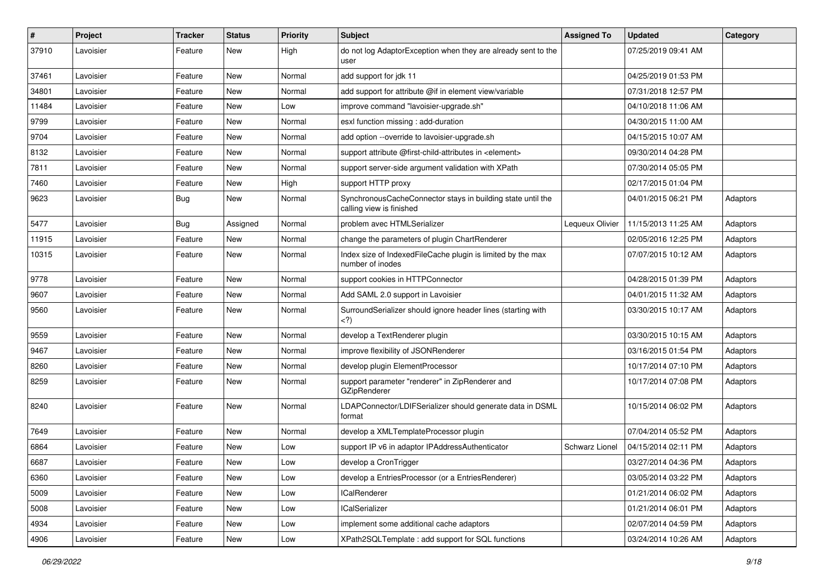| $\pmb{\#}$ | Project   | <b>Tracker</b> | <b>Status</b> | <b>Priority</b> | <b>Subject</b>                                                                          | <b>Assigned To</b> | <b>Updated</b>      | Category |
|------------|-----------|----------------|---------------|-----------------|-----------------------------------------------------------------------------------------|--------------------|---------------------|----------|
| 37910      | Lavoisier | Feature        | New           | High            | do not log AdaptorException when they are already sent to the<br>user                   |                    | 07/25/2019 09:41 AM |          |
| 37461      | Lavoisier | Feature        | New           | Normal          | add support for jdk 11                                                                  |                    | 04/25/2019 01:53 PM |          |
| 34801      | Lavoisier | Feature        | New           | Normal          | add support for attribute @if in element view/variable                                  |                    | 07/31/2018 12:57 PM |          |
| 11484      | Lavoisier | Feature        | <b>New</b>    | Low             | improve command "lavoisier-upgrade.sh"                                                  |                    | 04/10/2018 11:06 AM |          |
| 9799       | Lavoisier | Feature        | New           | Normal          | esxl function missing : add-duration                                                    |                    | 04/30/2015 11:00 AM |          |
| 9704       | Lavoisier | Feature        | <b>New</b>    | Normal          | add option --override to lavoisier-upgrade.sh                                           |                    | 04/15/2015 10:07 AM |          |
| 8132       | Lavoisier | Feature        | <b>New</b>    | Normal          | support attribute @first-child-attributes in <element></element>                        |                    | 09/30/2014 04:28 PM |          |
| 7811       | Lavoisier | Feature        | New           | Normal          | support server-side argument validation with XPath                                      |                    | 07/30/2014 05:05 PM |          |
| 7460       | Lavoisier | Feature        | <b>New</b>    | High            | support HTTP proxy                                                                      |                    | 02/17/2015 01:04 PM |          |
| 9623       | Lavoisier | <b>Bug</b>     | New           | Normal          | SynchronousCacheConnector stays in building state until the<br>calling view is finished |                    | 04/01/2015 06:21 PM | Adaptors |
| 5477       | Lavoisier | Bug            | Assigned      | Normal          | problem avec HTMLSerializer                                                             | Lequeux Olivier    | 11/15/2013 11:25 AM | Adaptors |
| 11915      | Lavoisier | Feature        | <b>New</b>    | Normal          | change the parameters of plugin ChartRenderer                                           |                    | 02/05/2016 12:25 PM | Adaptors |
| 10315      | Lavoisier | Feature        | New           | Normal          | Index size of IndexedFileCache plugin is limited by the max<br>number of inodes         |                    | 07/07/2015 10:12 AM | Adaptors |
| 9778       | Lavoisier | Feature        | <b>New</b>    | Normal          | support cookies in HTTPConnector                                                        |                    | 04/28/2015 01:39 PM | Adaptors |
| 9607       | Lavoisier | Feature        | <b>New</b>    | Normal          | Add SAML 2.0 support in Lavoisier                                                       |                    | 04/01/2015 11:32 AM | Adaptors |
| 9560       | Lavoisier | Feature        | New           | Normal          | SurroundSerializer should ignore header lines (starting with<br>$<$ ?)                  |                    | 03/30/2015 10:17 AM | Adaptors |
| 9559       | Lavoisier | Feature        | <b>New</b>    | Normal          | develop a TextRenderer plugin                                                           |                    | 03/30/2015 10:15 AM | Adaptors |
| 9467       | Lavoisier | Feature        | <b>New</b>    | Normal          | improve flexibility of JSONRenderer                                                     |                    | 03/16/2015 01:54 PM | Adaptors |
| 8260       | Lavoisier | Feature        | New           | Normal          | develop plugin ElementProcessor                                                         |                    | 10/17/2014 07:10 PM | Adaptors |
| 8259       | Lavoisier | Feature        | <b>New</b>    | Normal          | support parameter "renderer" in ZipRenderer and<br>GZipRenderer                         |                    | 10/17/2014 07:08 PM | Adaptors |
| 8240       | Lavoisier | Feature        | <b>New</b>    | Normal          | LDAPConnector/LDIFSerializer should generate data in DSML<br>format                     |                    | 10/15/2014 06:02 PM | Adaptors |
| 7649       | Lavoisier | Feature        | <b>New</b>    | Normal          | develop a XMLTemplateProcessor plugin                                                   |                    | 07/04/2014 05:52 PM | Adaptors |
| 6864       | Lavoisier | Feature        | New           | Low             | support IP v6 in adaptor IPAddressAuthenticator                                         | Schwarz Lionel     | 04/15/2014 02:11 PM | Adaptors |
| 6687       | Lavoisier | Feature        | New           | Low             | develop a CronTrigger                                                                   |                    | 03/27/2014 04:36 PM | Adaptors |
| 6360       | Lavoisier | Feature        | <b>New</b>    | Low             | develop a EntriesProcessor (or a EntriesRenderer)                                       |                    | 03/05/2014 03:22 PM | Adaptors |
| 5009       | Lavoisier | Feature        | New           | Low             | <b>ICalRenderer</b>                                                                     |                    | 01/21/2014 06:02 PM | Adaptors |
| 5008       | Lavoisier | Feature        | New           | Low             | lCalSerializer                                                                          |                    | 01/21/2014 06:01 PM | Adaptors |
| 4934       | Lavoisier | Feature        | New           | Low             | implement some additional cache adaptors                                                |                    | 02/07/2014 04:59 PM | Adaptors |
| 4906       | Lavoisier | Feature        | New           | Low             | XPath2SQLTemplate: add support for SQL functions                                        |                    | 03/24/2014 10:26 AM | Adaptors |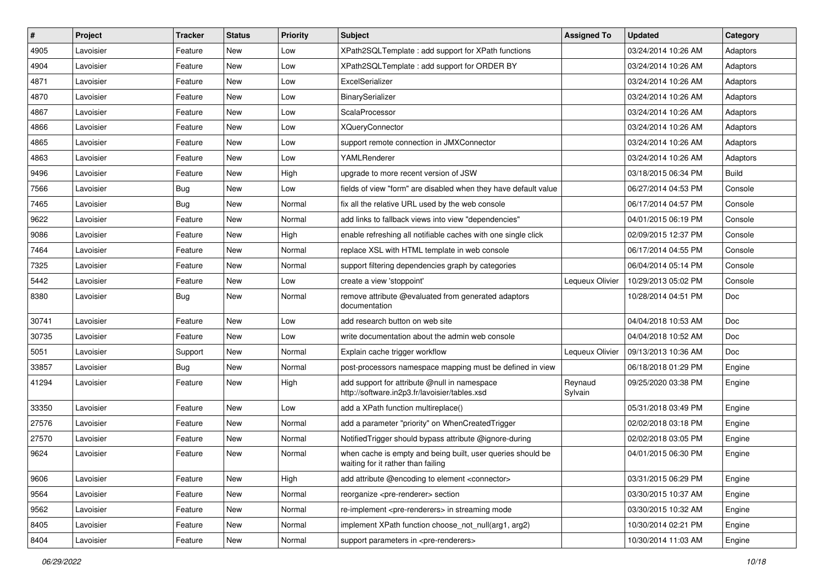| #     | Project   | <b>Tracker</b> | <b>Status</b> | <b>Priority</b> | <b>Subject</b>                                                                                    | <b>Assigned To</b> | <b>Updated</b>      | Category     |
|-------|-----------|----------------|---------------|-----------------|---------------------------------------------------------------------------------------------------|--------------------|---------------------|--------------|
| 4905  | Lavoisier | Feature        | New           | Low             | XPath2SQLTemplate: add support for XPath functions                                                |                    | 03/24/2014 10:26 AM | Adaptors     |
| 4904  | Lavoisier | Feature        | <b>New</b>    | Low             | XPath2SQLTemplate : add support for ORDER BY                                                      |                    | 03/24/2014 10:26 AM | Adaptors     |
| 4871  | Lavoisier | Feature        | New           | Low             | ExcelSerializer                                                                                   |                    | 03/24/2014 10:26 AM | Adaptors     |
| 4870  | Lavoisier | Feature        | New           | Low             | BinarySerializer                                                                                  |                    | 03/24/2014 10:26 AM | Adaptors     |
| 4867  | Lavoisier | Feature        | <b>New</b>    | Low             | ScalaProcessor                                                                                    |                    | 03/24/2014 10:26 AM | Adaptors     |
| 4866  | Lavoisier | Feature        | New           | Low             | <b>XQueryConnector</b>                                                                            |                    | 03/24/2014 10:26 AM | Adaptors     |
| 4865  | Lavoisier | Feature        | <b>New</b>    | Low             | support remote connection in JMXConnector                                                         |                    | 03/24/2014 10:26 AM | Adaptors     |
| 4863  | Lavoisier | Feature        | New           | Low             | YAMLRenderer                                                                                      |                    | 03/24/2014 10:26 AM | Adaptors     |
| 9496  | Lavoisier | Feature        | New           | High            | upgrade to more recent version of JSW                                                             |                    | 03/18/2015 06:34 PM | <b>Build</b> |
| 7566  | Lavoisier | Bug            | <b>New</b>    | Low             | fields of view "form" are disabled when they have default value                                   |                    | 06/27/2014 04:53 PM | Console      |
| 7465  | Lavoisier | <b>Bug</b>     | <b>New</b>    | Normal          | fix all the relative URL used by the web console                                                  |                    | 06/17/2014 04:57 PM | Console      |
| 9622  | Lavoisier | Feature        | <b>New</b>    | Normal          | add links to fallback views into view "dependencies"                                              |                    | 04/01/2015 06:19 PM | Console      |
| 9086  | Lavoisier | Feature        | New           | High            | enable refreshing all notifiable caches with one single click                                     |                    | 02/09/2015 12:37 PM | Console      |
| 7464  | Lavoisier | Feature        | New           | Normal          | replace XSL with HTML template in web console                                                     |                    | 06/17/2014 04:55 PM | Console      |
| 7325  | Lavoisier | Feature        | <b>New</b>    | Normal          | support filtering dependencies graph by categories                                                |                    | 06/04/2014 05:14 PM | Console      |
| 5442  | Lavoisier | Feature        | New           | Low             | create a view 'stoppoint'                                                                         | Lequeux Olivier    | 10/29/2013 05:02 PM | Console      |
| 8380  | Lavoisier | Bug            | New           | Normal          | remove attribute @evaluated from generated adaptors<br>documentation                              |                    | 10/28/2014 04:51 PM | Doc          |
| 30741 | Lavoisier | Feature        | <b>New</b>    | Low             | add research button on web site                                                                   |                    | 04/04/2018 10:53 AM | Doc          |
| 30735 | Lavoisier | Feature        | New           | Low             | write documentation about the admin web console                                                   |                    | 04/04/2018 10:52 AM | <b>Doc</b>   |
| 5051  | Lavoisier | Support        | New           | Normal          | Explain cache trigger workflow                                                                    | Lequeux Olivier    | 09/13/2013 10:36 AM | Doc          |
| 33857 | Lavoisier | <b>Bug</b>     | <b>New</b>    | Normal          | post-processors namespace mapping must be defined in view                                         |                    | 06/18/2018 01:29 PM | Engine       |
| 41294 | Lavoisier | Feature        | <b>New</b>    | High            | add support for attribute @null in namespace<br>http://software.in2p3.fr/lavoisier/tables.xsd     | Reynaud<br>Sylvain | 09/25/2020 03:38 PM | Engine       |
| 33350 | Lavoisier | Feature        | <b>New</b>    | Low             | add a XPath function multireplace()                                                               |                    | 05/31/2018 03:49 PM | Engine       |
| 27576 | Lavoisier | Feature        | <b>New</b>    | Normal          | add a parameter "priority" on WhenCreatedTrigger                                                  |                    | 02/02/2018 03:18 PM | Engine       |
| 27570 | Lavoisier | Feature        | New           | Normal          | Notified Trigger should bypass attribute @ignore-during                                           |                    | 02/02/2018 03:05 PM | Engine       |
| 9624  | Lavoisier | Feature        | New           | Normal          | when cache is empty and being built, user queries should be<br>waiting for it rather than failing |                    | 04/01/2015 06:30 PM | Engine       |
| 9606  | Lavoisier | Feature        | New           | High            | add attribute @encoding to element <connector></connector>                                        |                    | 03/31/2015 06:29 PM | Engine       |
| 9564  | Lavoisier | Feature        | New           | Normal          | reorganize <pre-renderer> section</pre-renderer>                                                  |                    | 03/30/2015 10:37 AM | Engine       |
| 9562  | Lavoisier | Feature        | New           | Normal          | re-implement <pre-renderers> in streaming mode</pre-renderers>                                    |                    | 03/30/2015 10:32 AM | Engine       |
| 8405  | Lavoisier | Feature        | New           | Normal          | implement XPath function choose not null(arg1, arg2)                                              |                    | 10/30/2014 02:21 PM | Engine       |
| 8404  | Lavoisier | Feature        | New           | Normal          | support parameters in <pre-renderers></pre-renderers>                                             |                    | 10/30/2014 11:03 AM | Engine       |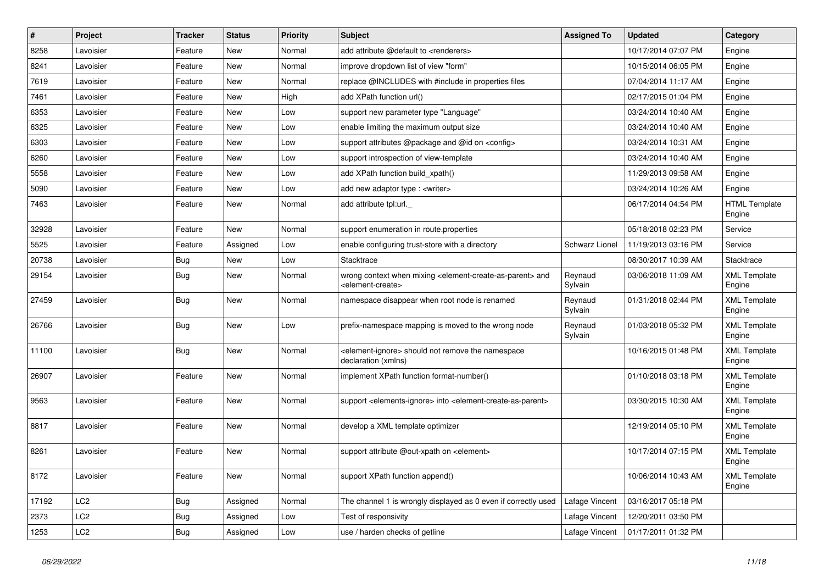| ∦     | Project         | <b>Tracker</b> | <b>Status</b> | <b>Priority</b> | <b>Subject</b>                                                                                                            | <b>Assigned To</b> | <b>Updated</b>      | Category                       |
|-------|-----------------|----------------|---------------|-----------------|---------------------------------------------------------------------------------------------------------------------------|--------------------|---------------------|--------------------------------|
| 8258  | Lavoisier       | Feature        | New           | Normal          | add attribute @default to <renderers></renderers>                                                                         |                    | 10/17/2014 07:07 PM | Engine                         |
| 8241  | Lavoisier       | Feature        | <b>New</b>    | Normal          | improve dropdown list of view "form"                                                                                      |                    | 10/15/2014 06:05 PM | Engine                         |
| 7619  | Lavoisier       | Feature        | New           | Normal          | replace @INCLUDES with #include in properties files                                                                       |                    | 07/04/2014 11:17 AM | Engine                         |
| 7461  | Lavoisier       | Feature        | New           | High            | add XPath function url()                                                                                                  |                    | 02/17/2015 01:04 PM | Engine                         |
| 6353  | Lavoisier       | Feature        | <b>New</b>    | Low             | support new parameter type "Language"                                                                                     |                    | 03/24/2014 10:40 AM | Engine                         |
| 6325  | Lavoisier       | Feature        | New           | Low             | enable limiting the maximum output size                                                                                   |                    | 03/24/2014 10:40 AM | Engine                         |
| 6303  | Lavoisier       | Feature        | <b>New</b>    | Low             | support attributes @package and @id on <config></config>                                                                  |                    | 03/24/2014 10:31 AM | Engine                         |
| 6260  | Lavoisier       | Feature        | New           | Low             | support introspection of view-template                                                                                    |                    | 03/24/2014 10:40 AM | Engine                         |
| 5558  | Lavoisier       | Feature        | New           | Low             | add XPath function build_xpath()                                                                                          |                    | 11/29/2013 09:58 AM | Engine                         |
| 5090  | Lavoisier       | Feature        | <b>New</b>    | Low             | add new adaptor type : <writer></writer>                                                                                  |                    | 03/24/2014 10:26 AM | Engine                         |
| 7463  | Lavoisier       | Feature        | New           | Normal          | add attribute tpl:url.                                                                                                    |                    | 06/17/2014 04:54 PM | <b>HTML Template</b><br>Engine |
| 32928 | Lavoisier       | Feature        | <b>New</b>    | Normal          | support enumeration in route.properties                                                                                   |                    | 05/18/2018 02:23 PM | Service                        |
| 5525  | Lavoisier       | Feature        | Assigned      | Low             | enable configuring trust-store with a directory                                                                           | Schwarz Lionel     | 11/19/2013 03:16 PM | Service                        |
| 20738 | Lavoisier       | Bug            | <b>New</b>    | Low             | Stacktrace                                                                                                                |                    | 08/30/2017 10:39 AM | Stacktrace                     |
| 29154 | Lavoisier       | Bug            | New           | Normal          | wrong context when mixing <element-create-as-parent> and<br/><element-create></element-create></element-create-as-parent> | Reynaud<br>Sylvain | 03/06/2018 11:09 AM | <b>XML Template</b><br>Engine  |
| 27459 | Lavoisier       | <b>Bug</b>     | <b>New</b>    | Normal          | namespace disappear when root node is renamed                                                                             | Reynaud<br>Sylvain | 01/31/2018 02:44 PM | <b>XML Template</b><br>Engine  |
| 26766 | Lavoisier       | <b>Bug</b>     | <b>New</b>    | Low             | prefix-namespace mapping is moved to the wrong node                                                                       | Reynaud<br>Sylvain | 01/03/2018 05:32 PM | <b>XML Template</b><br>Engine  |
| 11100 | Lavoisier       | Bug            | <b>New</b>    | Normal          | <element-ignore> should not remove the namespace<br/>declaration (xmlns)</element-ignore>                                 |                    | 10/16/2015 01:48 PM | <b>XML Template</b><br>Engine  |
| 26907 | Lavoisier       | Feature        | <b>New</b>    | Normal          | implement XPath function format-number()                                                                                  |                    | 01/10/2018 03:18 PM | <b>XML Template</b><br>Engine  |
| 9563  | Lavoisier       | Feature        | <b>New</b>    | Normal          | support <elements-ignore> into <element-create-as-parent></element-create-as-parent></elements-ignore>                    |                    | 03/30/2015 10:30 AM | <b>XML Template</b><br>Engine  |
| 8817  | Lavoisier       | Feature        | <b>New</b>    | Normal          | develop a XML template optimizer                                                                                          |                    | 12/19/2014 05:10 PM | <b>XML Template</b><br>Engine  |
| 8261  | Lavoisier       | Feature        | <b>New</b>    | Normal          | support attribute @out-xpath on <element></element>                                                                       |                    | 10/17/2014 07:15 PM | <b>XML Template</b><br>Engine  |
| 8172  | Lavoisier       | Feature        | New           | Normal          | support XPath function append()                                                                                           |                    | 10/06/2014 10:43 AM | <b>XML Template</b><br>Engine  |
| 17192 | LC <sub>2</sub> | <b>Bug</b>     | Assigned      | Normal          | The channel 1 is wrongly displayed as 0 even if correctly used                                                            | Lafage Vincent     | 03/16/2017 05:18 PM |                                |
| 2373  | LC2             | Bug            | Assigned      | Low             | Test of responsivity                                                                                                      | Lafage Vincent     | 12/20/2011 03:50 PM |                                |
| 1253  | LC <sub>2</sub> | <b>Bug</b>     | Assigned      | Low             | use / harden checks of getline                                                                                            | Lafage Vincent     | 01/17/2011 01:32 PM |                                |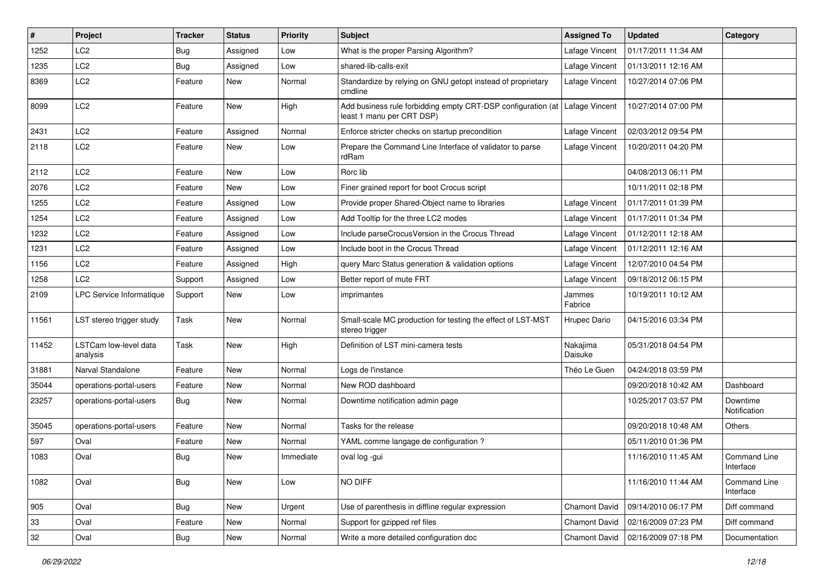| #     | Project                           | Tracker    | <b>Status</b> | <b>Priority</b> | Subject                                                                                                    | <b>Assigned To</b>  | <b>Updated</b>      | Category                  |
|-------|-----------------------------------|------------|---------------|-----------------|------------------------------------------------------------------------------------------------------------|---------------------|---------------------|---------------------------|
| 1252  | LC <sub>2</sub>                   | <b>Bug</b> | Assigned      | Low             | What is the proper Parsing Algorithm?                                                                      | Lafage Vincent      | 01/17/2011 11:34 AM |                           |
| 1235  | LC <sub>2</sub>                   | Bug        | Assigned      | Low             | shared-lib-calls-exit                                                                                      | Lafage Vincent      | 01/13/2011 12:16 AM |                           |
| 8369  | LC <sub>2</sub>                   | Feature    | New           | Normal          | Standardize by relying on GNU getopt instead of proprietary<br>cmdline                                     | Lafage Vincent      | 10/27/2014 07:06 PM |                           |
| 8099  | LC <sub>2</sub>                   | Feature    | New           | High            | Add business rule forbidding empty CRT-DSP configuration (at   Lafage Vincent<br>least 1 manu per CRT DSP) |                     | 10/27/2014 07:00 PM |                           |
| 2431  | LC <sub>2</sub>                   | Feature    | Assigned      | Normal          | Enforce stricter checks on startup precondition                                                            | Lafage Vincent      | 02/03/2012 09:54 PM |                           |
| 2118  | LC <sub>2</sub>                   | Feature    | New           | Low             | Prepare the Command Line Interface of validator to parse<br>rdRam                                          | Lafage Vincent      | 10/20/2011 04:20 PM |                           |
| 2112  | LC <sub>2</sub>                   | Feature    | New           | Low             | Rorc lib                                                                                                   |                     | 04/08/2013 06:11 PM |                           |
| 2076  | LC2                               | Feature    | New           | Low             | Finer grained report for boot Crocus script                                                                |                     | 10/11/2011 02:18 PM |                           |
| 1255  | LC <sub>2</sub>                   | Feature    | Assigned      | Low             | Provide proper Shared-Object name to libraries                                                             | Lafage Vincent      | 01/17/2011 01:39 PM |                           |
| 1254  | LC <sub>2</sub>                   | Feature    | Assigned      | Low             | Add Tooltip for the three LC2 modes                                                                        | Lafage Vincent      | 01/17/2011 01:34 PM |                           |
| 1232  | LC <sub>2</sub>                   | Feature    | Assigned      | Low             | Include parseCrocusVersion in the Crocus Thread                                                            | Lafage Vincent      | 01/12/2011 12:18 AM |                           |
| 1231  | LC <sub>2</sub>                   | Feature    | Assigned      | Low             | Include boot in the Crocus Thread                                                                          | Lafage Vincent      | 01/12/2011 12:16 AM |                           |
| 1156  | LC2                               | Feature    | Assigned      | High            | query Marc Status generation & validation options                                                          | Lafage Vincent      | 12/07/2010 04:54 PM |                           |
| 1258  | LC <sub>2</sub>                   | Support    | Assigned      | Low             | Better report of mute FRT                                                                                  | Lafage Vincent      | 09/18/2012 06:15 PM |                           |
| 2109  | <b>LPC Service Informatique</b>   | Support    | New           | Low             | imprimantes                                                                                                | Jammes<br>Fabrice   | 10/19/2011 10:12 AM |                           |
| 11561 | LST stereo trigger study          | Task       | New           | Normal          | Small-scale MC production for testing the effect of LST-MST<br>stereo trigger                              | Hrupec Dario        | 04/15/2016 03:34 PM |                           |
| 11452 | LSTCam low-level data<br>analysis | Task       | <b>New</b>    | High            | Definition of LST mini-camera tests                                                                        | Nakajima<br>Daisuke | 05/31/2018 04:54 PM |                           |
| 31881 | Narval Standalone                 | Feature    | New           | Normal          | Logs de l'instance                                                                                         | Théo Le Guen        | 04/24/2018 03:59 PM |                           |
| 35044 | operations-portal-users           | Feature    | New           | Normal          | New ROD dashboard                                                                                          |                     | 09/20/2018 10:42 AM | Dashboard                 |
| 23257 | operations-portal-users           | Bug        | <b>New</b>    | Normal          | Downtime notification admin page                                                                           |                     | 10/25/2017 03:57 PM | Downtime<br>Notification  |
| 35045 | operations-portal-users           | Feature    | New           | Normal          | Tasks for the release                                                                                      |                     | 09/20/2018 10:48 AM | Others                    |
| 597   | Oval                              | Feature    | New           | Normal          | YAML comme langage de configuration?                                                                       |                     | 05/11/2010 01:36 PM |                           |
| 1083  | Oval                              | <b>Bug</b> | New           | Immediate       | oval log -gui                                                                                              |                     | 11/16/2010 11:45 AM | Command Line<br>Interface |
| 1082  | Oval                              | Bug        | New           | Low             | NO DIFF                                                                                                    |                     | 11/16/2010 11:44 AM | Command Line<br>Interface |
| 905   | Oval                              | Bug        | New           | Urgent          | Use of parenthesis in diffline regular expression                                                          | Chamont David       | 09/14/2010 06:17 PM | Diff command              |
| 33    | Oval                              | Feature    | New           | Normal          | Support for gzipped ref files                                                                              | Chamont David       | 02/16/2009 07:23 PM | Diff command              |
| 32    | Oval                              | Bug        | New           | Normal          | Write a more detailed configuration doc                                                                    | Chamont David       | 02/16/2009 07:18 PM | Documentation             |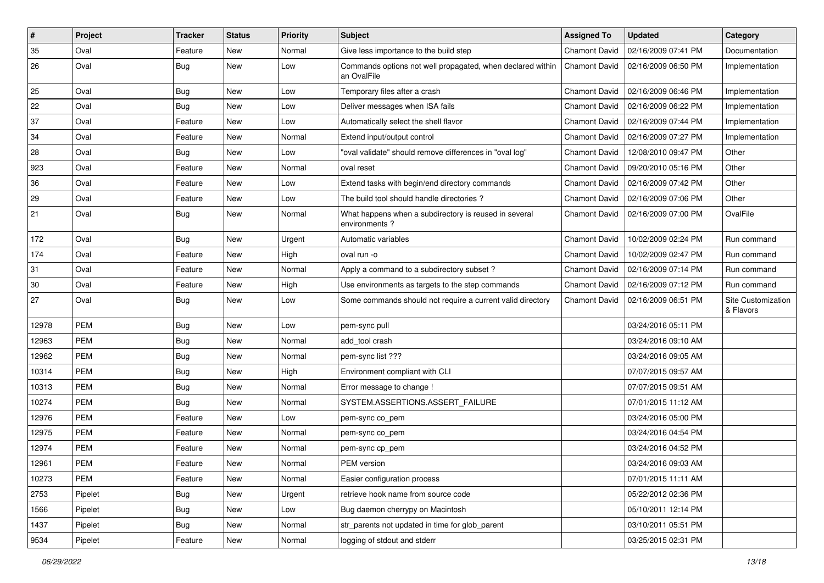| $\vert$ # | Project    | <b>Tracker</b> | <b>Status</b> | <b>Priority</b> | <b>Subject</b>                                                            | <b>Assigned To</b>   | <b>Updated</b>      | Category                        |
|-----------|------------|----------------|---------------|-----------------|---------------------------------------------------------------------------|----------------------|---------------------|---------------------------------|
| 35        | Oval       | Feature        | New           | Normal          | Give less importance to the build step                                    | <b>Chamont David</b> | 02/16/2009 07:41 PM | Documentation                   |
| 26        | Oval       | Bug            | <b>New</b>    | Low             | Commands options not well propagated, when declared within<br>an OvalFile | <b>Chamont David</b> | 02/16/2009 06:50 PM | Implementation                  |
| 25        | Oval       | Bug            | <b>New</b>    | Low             | Temporary files after a crash                                             | <b>Chamont David</b> | 02/16/2009 06:46 PM | Implementation                  |
| 22        | Oval       | Bug            | <b>New</b>    | Low             | Deliver messages when ISA fails                                           | <b>Chamont David</b> | 02/16/2009 06:22 PM | Implementation                  |
| 37        | Oval       | Feature        | <b>New</b>    | Low             | Automatically select the shell flavor                                     | <b>Chamont David</b> | 02/16/2009 07:44 PM | Implementation                  |
| 34        | Oval       | Feature        | <b>New</b>    | Normal          | Extend input/output control                                               | <b>Chamont David</b> | 02/16/2009 07:27 PM | Implementation                  |
| 28        | Oval       | Bug            | <b>New</b>    | Low             | "oval validate" should remove differences in "oval log"                   | Chamont David        | 12/08/2010 09:47 PM | Other                           |
| 923       | Oval       | Feature        | <b>New</b>    | Normal          | oval reset                                                                | <b>Chamont David</b> | 09/20/2010 05:16 PM | Other                           |
| 36        | Oval       | Feature        | <b>New</b>    | Low             | Extend tasks with begin/end directory commands                            | Chamont David        | 02/16/2009 07:42 PM | Other                           |
| 29        | Oval       | Feature        | <b>New</b>    | Low             | The build tool should handle directories?                                 | <b>Chamont David</b> | 02/16/2009 07:06 PM | Other                           |
| 21        | Oval       | Bug            | <b>New</b>    | Normal          | What happens when a subdirectory is reused in several<br>environments?    | <b>Chamont David</b> | 02/16/2009 07:00 PM | OvalFile                        |
| 172       | Oval       | Bug            | <b>New</b>    | Urgent          | Automatic variables                                                       | <b>Chamont David</b> | 10/02/2009 02:24 PM | Run command                     |
| 174       | Oval       | Feature        | <b>New</b>    | High            | oval run -o                                                               | <b>Chamont David</b> | 10/02/2009 02:47 PM | Run command                     |
| 31        | Oval       | Feature        | <b>New</b>    | Normal          | Apply a command to a subdirectory subset?                                 | Chamont David        | 02/16/2009 07:14 PM | Run command                     |
| 30        | Oval       | Feature        | New           | High            | Use environments as targets to the step commands                          | <b>Chamont David</b> | 02/16/2009 07:12 PM | Run command                     |
| 27        | Oval       | <b>Bug</b>     | <b>New</b>    | Low             | Some commands should not require a current valid directory                | <b>Chamont David</b> | 02/16/2009 06:51 PM | Site Customization<br>& Flavors |
| 12978     | <b>PEM</b> | Bug            | <b>New</b>    | Low             | pem-sync pull                                                             |                      | 03/24/2016 05:11 PM |                                 |
| 12963     | <b>PEM</b> | Bug            | <b>New</b>    | Normal          | add_tool crash                                                            |                      | 03/24/2016 09:10 AM |                                 |
| 12962     | <b>PEM</b> | Bug            | <b>New</b>    | Normal          | pem-sync list ???                                                         |                      | 03/24/2016 09:05 AM |                                 |
| 10314     | <b>PEM</b> | Bug            | <b>New</b>    | High            | Environment compliant with CLI                                            |                      | 07/07/2015 09:57 AM |                                 |
| 10313     | <b>PEM</b> | Bug            | <b>New</b>    | Normal          | Error message to change !                                                 |                      | 07/07/2015 09:51 AM |                                 |
| 10274     | <b>PEM</b> | <b>Bug</b>     | <b>New</b>    | Normal          | SYSTEM.ASSERTIONS.ASSERT_FAILURE                                          |                      | 07/01/2015 11:12 AM |                                 |
| 12976     | <b>PEM</b> | Feature        | <b>New</b>    | Low             | pem-sync co pem                                                           |                      | 03/24/2016 05:00 PM |                                 |
| 12975     | <b>PEM</b> | Feature        | New           | Normal          | pem-sync co_pem                                                           |                      | 03/24/2016 04:54 PM |                                 |
| 12974     | <b>PEM</b> | Feature        | <b>New</b>    | Normal          | pem-sync cp_pem                                                           |                      | 03/24/2016 04:52 PM |                                 |
| 12961     | <b>PEM</b> | Feature        | New           | Normal          | PEM version                                                               |                      | 03/24/2016 09:03 AM |                                 |
| 10273     | PEM        | Feature        | New           | Normal          | Easier configuration process                                              |                      | 07/01/2015 11:11 AM |                                 |
| 2753      | Pipelet    | <b>Bug</b>     | New           | Urgent          | retrieve hook name from source code                                       |                      | 05/22/2012 02:36 PM |                                 |
| 1566      | Pipelet    | Bug            | New           | Low             | Bug daemon cherrypy on Macintosh                                          |                      | 05/10/2011 12:14 PM |                                 |
| 1437      | Pipelet    | Bug            | New           | Normal          | str parents not updated in time for glob parent                           |                      | 03/10/2011 05:51 PM |                                 |
| 9534      | Pipelet    | Feature        | New           | Normal          | logging of stdout and stderr                                              |                      | 03/25/2015 02:31 PM |                                 |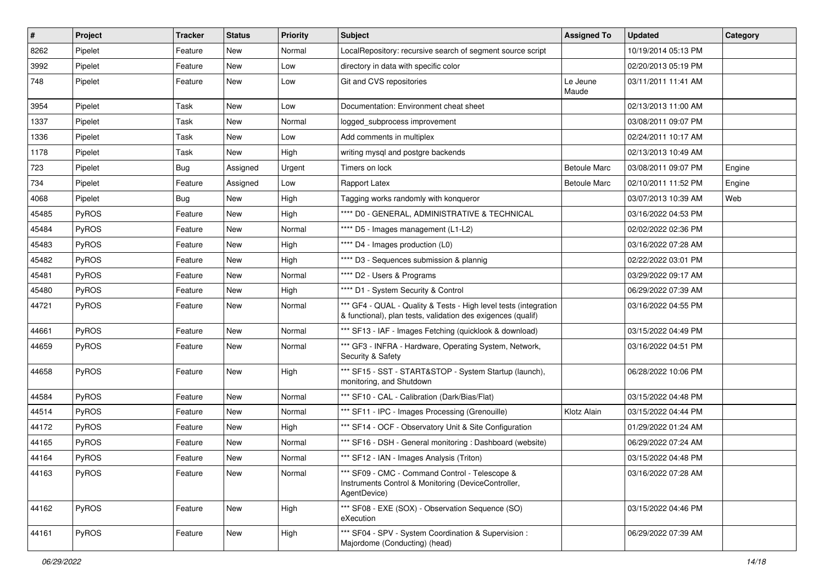| $\vert$ # | Project      | <b>Tracker</b> | <b>Status</b> | <b>Priority</b> | Subject                                                                                                                          | <b>Assigned To</b>  | <b>Updated</b>      | Category |
|-----------|--------------|----------------|---------------|-----------------|----------------------------------------------------------------------------------------------------------------------------------|---------------------|---------------------|----------|
| 8262      | Pipelet      | Feature        | New           | Normal          | LocalRepository: recursive search of segment source script                                                                       |                     | 10/19/2014 05:13 PM |          |
| 3992      | Pipelet      | Feature        | <b>New</b>    | Low             | directory in data with specific color                                                                                            |                     | 02/20/2013 05:19 PM |          |
| 748       | Pipelet      | Feature        | <b>New</b>    | Low             | Git and CVS repositories                                                                                                         | Le Jeune<br>Maude   | 03/11/2011 11:41 AM |          |
| 3954      | Pipelet      | Task           | <b>New</b>    | Low             | Documentation: Environment cheat sheet                                                                                           |                     | 02/13/2013 11:00 AM |          |
| 1337      | Pipelet      | Task           | <b>New</b>    | Normal          | logged_subprocess improvement                                                                                                    |                     | 03/08/2011 09:07 PM |          |
| 1336      | Pipelet      | Task           | <b>New</b>    | Low             | Add comments in multiplex                                                                                                        |                     | 02/24/2011 10:17 AM |          |
| 1178      | Pipelet      | Task           | New           | High            | writing mysql and postgre backends                                                                                               |                     | 02/13/2013 10:49 AM |          |
| 723       | Pipelet      | <b>Bug</b>     | Assigned      | Urgent          | Timers on lock                                                                                                                   | <b>Betoule Marc</b> | 03/08/2011 09:07 PM | Engine   |
| 734       | Pipelet      | Feature        | Assigned      | Low             | Rapport Latex                                                                                                                    | <b>Betoule Marc</b> | 02/10/2011 11:52 PM | Engine   |
| 4068      | Pipelet      | <b>Bug</b>     | New           | High            | Tagging works randomly with konqueror                                                                                            |                     | 03/07/2013 10:39 AM | Web      |
| 45485     | PyROS        | Feature        | <b>New</b>    | High            | **** D0 - GENERAL, ADMINISTRATIVE & TECHNICAL                                                                                    |                     | 03/16/2022 04:53 PM |          |
| 45484     | PyROS        | Feature        | New           | Normal          | **** D5 - Images management (L1-L2)                                                                                              |                     | 02/02/2022 02:36 PM |          |
| 45483     | PyROS        | Feature        | <b>New</b>    | High            | **** D4 - Images production (L0)                                                                                                 |                     | 03/16/2022 07:28 AM |          |
| 45482     | PyROS        | Feature        | <b>New</b>    | High            | **** D3 - Sequences submission & plannig                                                                                         |                     | 02/22/2022 03:01 PM |          |
| 45481     | PyROS        | Feature        | New           | Normal          | **** D2 - Users & Programs                                                                                                       |                     | 03/29/2022 09:17 AM |          |
| 45480     | PyROS        | Feature        | <b>New</b>    | High            | **** D1 - System Security & Control                                                                                              |                     | 06/29/2022 07:39 AM |          |
| 44721     | <b>PyROS</b> | Feature        | <b>New</b>    | Normal          | *** GF4 - QUAL - Quality & Tests - High level tests (integration<br>& functional), plan tests, validation des exigences (qualif) |                     | 03/16/2022 04:55 PM |          |
| 44661     | PyROS        | Feature        | <b>New</b>    | Normal          | *** SF13 - IAF - Images Fetching (quicklook & download)                                                                          |                     | 03/15/2022 04:49 PM |          |
| 44659     | <b>PyROS</b> | Feature        | New           | Normal          | *** GF3 - INFRA - Hardware, Operating System, Network,<br>Security & Safety                                                      |                     | 03/16/2022 04:51 PM |          |
| 44658     | PyROS        | Feature        | <b>New</b>    | High            | *** SF15 - SST - START&STOP - System Startup (launch),<br>monitoring, and Shutdown                                               |                     | 06/28/2022 10:06 PM |          |
| 44584     | PyROS        | Feature        | <b>New</b>    | Normal          | *** SF10 - CAL - Calibration (Dark/Bias/Flat)                                                                                    |                     | 03/15/2022 04:48 PM |          |
| 44514     | PyROS        | Feature        | <b>New</b>    | Normal          | *** SF11 - IPC - Images Processing (Grenouille)                                                                                  | Klotz Alain         | 03/15/2022 04:44 PM |          |
| 44172     | <b>PyROS</b> | Feature        | New           | High            | *** SF14 - OCF - Observatory Unit & Site Configuration                                                                           |                     | 01/29/2022 01:24 AM |          |
| 44165     | PyROS        | Feature        | <b>New</b>    | Normal          | *** SF16 - DSH - General monitoring: Dashboard (website)                                                                         |                     | 06/29/2022 07:24 AM |          |
| 44164     | PyROS        | Feature        | New           | Normal          | *** SF12 - IAN - Images Analysis (Triton)                                                                                        |                     | 03/15/2022 04:48 PM |          |
| 44163     | PyROS        | Feature        | New           | Normal          | *** SF09 - CMC - Command Control - Telescope &<br>Instruments Control & Monitoring (DeviceController,<br>AgentDevice)            |                     | 03/16/2022 07:28 AM |          |
| 44162     | PyROS        | Feature        | New           | High            | *** SF08 - EXE (SOX) - Observation Sequence (SO)<br>eXecution                                                                    |                     | 03/15/2022 04:46 PM |          |
| 44161     | PyROS        | Feature        | New           | High            | *** SF04 - SPV - System Coordination & Supervision :<br>Majordome (Conducting) (head)                                            |                     | 06/29/2022 07:39 AM |          |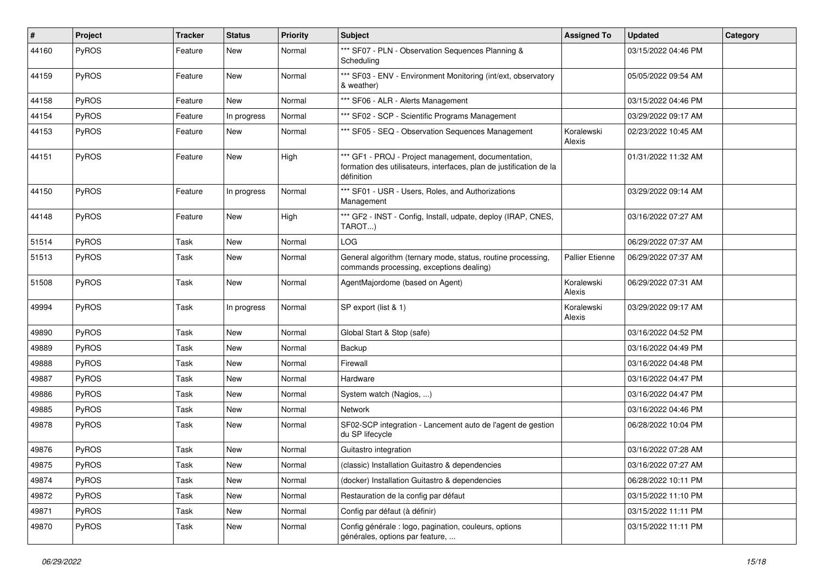| #     | Project      | <b>Tracker</b> | <b>Status</b> | <b>Priority</b> | Subject                                                                                                                                  | <b>Assigned To</b>     | <b>Updated</b>      | Category |
|-------|--------------|----------------|---------------|-----------------|------------------------------------------------------------------------------------------------------------------------------------------|------------------------|---------------------|----------|
| 44160 | PyROS        | Feature        | New           | Normal          | *** SF07 - PLN - Observation Sequences Planning &<br>Scheduling                                                                          |                        | 03/15/2022 04:46 PM |          |
| 44159 | PyROS        | Feature        | <b>New</b>    | Normal          | *** SF03 - ENV - Environment Monitoring (int/ext, observatory<br>& weather)                                                              |                        | 05/05/2022 09:54 AM |          |
| 44158 | PyROS        | Feature        | <b>New</b>    | Normal          | *** SF06 - ALR - Alerts Management                                                                                                       |                        | 03/15/2022 04:46 PM |          |
| 44154 | PyROS        | Feature        | In progress   | Normal          | *** SF02 - SCP - Scientific Programs Management                                                                                          |                        | 03/29/2022 09:17 AM |          |
| 44153 | PyROS        | Feature        | New           | Normal          | *** SF05 - SEQ - Observation Sequences Management                                                                                        | Koralewski<br>Alexis   | 02/23/2022 10:45 AM |          |
| 44151 | PyROS        | Feature        | New           | High            | *** GF1 - PROJ - Project management, documentation,<br>formation des utilisateurs, interfaces, plan de justification de la<br>définition |                        | 01/31/2022 11:32 AM |          |
| 44150 | PyROS        | Feature        | In progress   | Normal          | *** SF01 - USR - Users, Roles, and Authorizations<br>Management                                                                          |                        | 03/29/2022 09:14 AM |          |
| 44148 | PyROS        | Feature        | <b>New</b>    | High            | *** GF2 - INST - Config, Install, udpate, deploy (IRAP, CNES,<br>TAROT)                                                                  |                        | 03/16/2022 07:27 AM |          |
| 51514 | PyROS        | Task           | <b>New</b>    | Normal          | LOG                                                                                                                                      |                        | 06/29/2022 07:37 AM |          |
| 51513 | <b>PyROS</b> | Task           | New           | Normal          | General algorithm (ternary mode, status, routine processing,<br>commands processing, exceptions dealing)                                 | <b>Pallier Etienne</b> | 06/29/2022 07:37 AM |          |
| 51508 | PyROS        | Task           | New           | Normal          | AgentMajordome (based on Agent)                                                                                                          | Koralewski<br>Alexis   | 06/29/2022 07:31 AM |          |
| 49994 | PyROS        | Task           | In progress   | Normal          | SP export (list & 1)                                                                                                                     | Koralewski<br>Alexis   | 03/29/2022 09:17 AM |          |
| 49890 | PyROS        | Task           | New           | Normal          | Global Start & Stop (safe)                                                                                                               |                        | 03/16/2022 04:52 PM |          |
| 49889 | PyROS        | Task           | <b>New</b>    | Normal          | Backup                                                                                                                                   |                        | 03/16/2022 04:49 PM |          |
| 49888 | PyROS        | Task           | New           | Normal          | Firewall                                                                                                                                 |                        | 03/16/2022 04:48 PM |          |
| 49887 | PyROS        | Task           | New           | Normal          | Hardware                                                                                                                                 |                        | 03/16/2022 04:47 PM |          |
| 49886 | PyROS        | Task           | New           | Normal          | System watch (Nagios, )                                                                                                                  |                        | 03/16/2022 04:47 PM |          |
| 49885 | PyROS        | Task           | New           | Normal          | <b>Network</b>                                                                                                                           |                        | 03/16/2022 04:46 PM |          |
| 49878 | PyROS        | Task           | <b>New</b>    | Normal          | SF02-SCP integration - Lancement auto de l'agent de gestion<br>du SP lifecycle                                                           |                        | 06/28/2022 10:04 PM |          |
| 49876 | PyROS        | Task           | <b>New</b>    | Normal          | Guitastro integration                                                                                                                    |                        | 03/16/2022 07:28 AM |          |
| 49875 | PyROS        | Task           | New           | Normal          | (classic) Installation Guitastro & dependencies                                                                                          |                        | 03/16/2022 07:27 AM |          |
| 49874 | PyROS        | Task           | New           | Normal          | (docker) Installation Guitastro & dependencies                                                                                           |                        | 06/28/2022 10:11 PM |          |
| 49872 | PyROS        | Task           | New           | Normal          | Restauration de la config par défaut                                                                                                     |                        | 03/15/2022 11:10 PM |          |
| 49871 | PyROS        | Task           | New           | Normal          | Config par défaut (à définir)                                                                                                            |                        | 03/15/2022 11:11 PM |          |
| 49870 | PyROS        | Task           | New           | Normal          | Config générale : logo, pagination, couleurs, options<br>générales, options par feature,                                                 |                        | 03/15/2022 11:11 PM |          |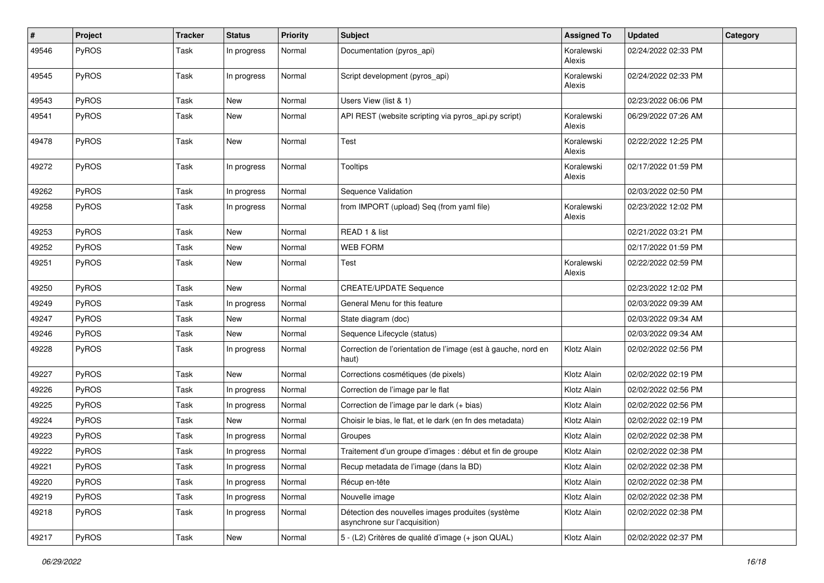| #     | Project      | <b>Tracker</b> | <b>Status</b> | <b>Priority</b> | <b>Subject</b>                                                                     | <b>Assigned To</b>   | <b>Updated</b>      | Category |
|-------|--------------|----------------|---------------|-----------------|------------------------------------------------------------------------------------|----------------------|---------------------|----------|
| 49546 | PyROS        | Task           | In progress   | Normal          | Documentation (pyros_api)                                                          | Koralewski<br>Alexis | 02/24/2022 02:33 PM |          |
| 49545 | PyROS        | Task           | In progress   | Normal          | Script development (pyros_api)                                                     | Koralewski<br>Alexis | 02/24/2022 02:33 PM |          |
| 49543 | PyROS        | Task           | <b>New</b>    | Normal          | Users View (list & 1)                                                              |                      | 02/23/2022 06:06 PM |          |
| 49541 | PyROS        | Task           | <b>New</b>    | Normal          | API REST (website scripting via pyros_api.py script)                               | Koralewski<br>Alexis | 06/29/2022 07:26 AM |          |
| 49478 | PyROS        | Task           | <b>New</b>    | Normal          | Test                                                                               | Koralewski<br>Alexis | 02/22/2022 12:25 PM |          |
| 49272 | PyROS        | Task           | In progress   | Normal          | Tooltips                                                                           | Koralewski<br>Alexis | 02/17/2022 01:59 PM |          |
| 49262 | PyROS        | Task           | In progress   | Normal          | Sequence Validation                                                                |                      | 02/03/2022 02:50 PM |          |
| 49258 | PyROS        | Task           | In progress   | Normal          | from IMPORT (upload) Seq (from yaml file)                                          | Koralewski<br>Alexis | 02/23/2022 12:02 PM |          |
| 49253 | PyROS        | Task           | <b>New</b>    | Normal          | READ 1 & list                                                                      |                      | 02/21/2022 03:21 PM |          |
| 49252 | PyROS        | Task           | New           | Normal          | <b>WEB FORM</b>                                                                    |                      | 02/17/2022 01:59 PM |          |
| 49251 | PyROS        | Task           | New           | Normal          | Test                                                                               | Koralewski<br>Alexis | 02/22/2022 02:59 PM |          |
| 49250 | PyROS        | Task           | <b>New</b>    | Normal          | <b>CREATE/UPDATE Sequence</b>                                                      |                      | 02/23/2022 12:02 PM |          |
| 49249 | PyROS        | Task           | In progress   | Normal          | General Menu for this feature                                                      |                      | 02/03/2022 09:39 AM |          |
| 49247 | PyROS        | Task           | <b>New</b>    | Normal          | State diagram (doc)                                                                |                      | 02/03/2022 09:34 AM |          |
| 49246 | PyROS        | Task           | <b>New</b>    | Normal          | Sequence Lifecycle (status)                                                        |                      | 02/03/2022 09:34 AM |          |
| 49228 | PyROS        | Task           | In progress   | Normal          | Correction de l'orientation de l'image (est à gauche, nord en<br>haut)             | Klotz Alain          | 02/02/2022 02:56 PM |          |
| 49227 | PyROS        | Task           | <b>New</b>    | Normal          | Corrections cosmétiques (de pixels)                                                | Klotz Alain          | 02/02/2022 02:19 PM |          |
| 49226 | PyROS        | Task           | In progress   | Normal          | Correction de l'image par le flat                                                  | Klotz Alain          | 02/02/2022 02:56 PM |          |
| 49225 | PyROS        | Task           | In progress   | Normal          | Correction de l'image par le dark (+ bias)                                         | Klotz Alain          | 02/02/2022 02:56 PM |          |
| 49224 | PyROS        | Task           | New           | Normal          | Choisir le bias, le flat, et le dark (en fn des metadata)                          | Klotz Alain          | 02/02/2022 02:19 PM |          |
| 49223 | PyROS        | Task           | In progress   | Normal          | Groupes                                                                            | Klotz Alain          | 02/02/2022 02:38 PM |          |
| 49222 | PyROS        | Task           | In progress   | Normal          | Traitement d'un groupe d'images : début et fin de groupe                           | Klotz Alain          | 02/02/2022 02:38 PM |          |
| 49221 | PyROS        | Task           | In progress   | Normal          | Recup metadata de l'image (dans la BD)                                             | Klotz Alain          | 02/02/2022 02:38 PM |          |
| 49220 | <b>PyROS</b> | Task           | In progress   | Normal          | Récup en-tête                                                                      | Klotz Alain          | 02/02/2022 02:38 PM |          |
| 49219 | PyROS        | Task           | In progress   | Normal          | Nouvelle image                                                                     | Klotz Alain          | 02/02/2022 02:38 PM |          |
| 49218 | PyROS        | Task           | In progress   | Normal          | Détection des nouvelles images produites (système<br>asynchrone sur l'acquisition) | Klotz Alain          | 02/02/2022 02:38 PM |          |
| 49217 | PyROS        | Task           | New           | Normal          | 5 - (L2) Critères de qualité d'image (+ json QUAL)                                 | Klotz Alain          | 02/02/2022 02:37 PM |          |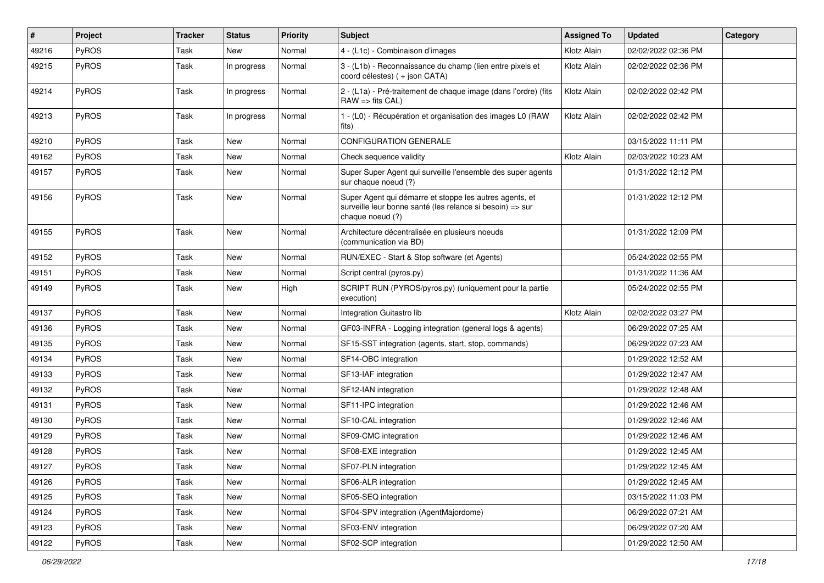| #     | Project      | <b>Tracker</b> | <b>Status</b> | <b>Priority</b> | <b>Subject</b>                                                                                                                           | <b>Assigned To</b> | <b>Updated</b>      | Category |
|-------|--------------|----------------|---------------|-----------------|------------------------------------------------------------------------------------------------------------------------------------------|--------------------|---------------------|----------|
| 49216 | <b>PyROS</b> | Task           | <b>New</b>    | Normal          | 4 - (L1c) - Combinaison d'images                                                                                                         | Klotz Alain        | 02/02/2022 02:36 PM |          |
| 49215 | PyROS        | Task           | In progress   | Normal          | 3 - (L1b) - Reconnaissance du champ (lien entre pixels et<br>coord célestes) (+ json CATA)                                               | Klotz Alain        | 02/02/2022 02:36 PM |          |
| 49214 | PyROS        | Task           | In progress   | Normal          | 2 - (L1a) - Pré-traitement de chaque image (dans l'ordre) (fits<br>$RAW \Rightarrow$ fits $CAL$ )                                        | Klotz Alain        | 02/02/2022 02:42 PM |          |
| 49213 | <b>PyROS</b> | Task           | In progress   | Normal          | 1 - (L0) - Récupération et organisation des images L0 (RAW<br>fits)                                                                      | Klotz Alain        | 02/02/2022 02:42 PM |          |
| 49210 | PyROS        | Task           | <b>New</b>    | Normal          | CONFIGURATION GENERALE                                                                                                                   |                    | 03/15/2022 11:11 PM |          |
| 49162 | <b>PyROS</b> | Task           | <b>New</b>    | Normal          | Check sequence validity                                                                                                                  | Klotz Alain        | 02/03/2022 10:23 AM |          |
| 49157 | PyROS        | Task           | <b>New</b>    | Normal          | Super Super Agent qui surveille l'ensemble des super agents<br>sur chaque noeud (?)                                                      |                    | 01/31/2022 12:12 PM |          |
| 49156 | PyROS        | Task           | <b>New</b>    | Normal          | Super Agent qui démarre et stoppe les autres agents, et<br>surveille leur bonne santé (les relance si besoin) => sur<br>chaque noeud (?) |                    | 01/31/2022 12:12 PM |          |
| 49155 | PyROS        | Task           | <b>New</b>    | Normal          | Architecture décentralisée en plusieurs noeuds<br>(communication via BD)                                                                 |                    | 01/31/2022 12:09 PM |          |
| 49152 | <b>PyROS</b> | Task           | <b>New</b>    | Normal          | RUN/EXEC - Start & Stop software (et Agents)                                                                                             |                    | 05/24/2022 02:55 PM |          |
| 49151 | PyROS        | Task           | <b>New</b>    | Normal          | Script central (pyros.py)                                                                                                                |                    | 01/31/2022 11:36 AM |          |
| 49149 | PyROS        | Task           | New           | High            | SCRIPT RUN (PYROS/pyros.py) (uniquement pour la partie<br>execution)                                                                     |                    | 05/24/2022 02:55 PM |          |
| 49137 | PyROS        | Task           | <b>New</b>    | Normal          | Integration Guitastro lib                                                                                                                | Klotz Alain        | 02/02/2022 03:27 PM |          |
| 49136 | PyROS        | Task           | New           | Normal          | GF03-INFRA - Logging integration (general logs & agents)                                                                                 |                    | 06/29/2022 07:25 AM |          |
| 49135 | PyROS        | Task           | <b>New</b>    | Normal          | SF15-SST integration (agents, start, stop, commands)                                                                                     |                    | 06/29/2022 07:23 AM |          |
| 49134 | PyROS        | Task           | <b>New</b>    | Normal          | SF14-OBC integration                                                                                                                     |                    | 01/29/2022 12:52 AM |          |
| 49133 | <b>PyROS</b> | Task           | <b>New</b>    | Normal          | SF13-IAF integration                                                                                                                     |                    | 01/29/2022 12:47 AM |          |
| 49132 | PyROS        | Task           | <b>New</b>    | Normal          | SF12-IAN integration                                                                                                                     |                    | 01/29/2022 12:48 AM |          |
| 49131 | PyROS        | Task           | New           | Normal          | SF11-IPC integration                                                                                                                     |                    | 01/29/2022 12:46 AM |          |
| 49130 | PyROS        | Task           | <b>New</b>    | Normal          | SF10-CAL integration                                                                                                                     |                    | 01/29/2022 12:46 AM |          |
| 49129 | PyROS        | Task           | <b>New</b>    | Normal          | SF09-CMC integration                                                                                                                     |                    | 01/29/2022 12:46 AM |          |
| 49128 | <b>PyROS</b> | Task           | <b>New</b>    | Normal          | SF08-EXE integration                                                                                                                     |                    | 01/29/2022 12:45 AM |          |
| 49127 | PyROS        | Task           | New           | Normal          | SF07-PLN integration                                                                                                                     |                    | 01/29/2022 12:45 AM |          |
| 49126 | PyROS        | Task           | New           | Normal          | SF06-ALR integration                                                                                                                     |                    | 01/29/2022 12:45 AM |          |
| 49125 | PyROS        | Task           | New           | Normal          | SF05-SEQ integration                                                                                                                     |                    | 03/15/2022 11:03 PM |          |
| 49124 | PyROS        | Task           | New           | Normal          | SF04-SPV integration (AgentMajordome)                                                                                                    |                    | 06/29/2022 07:21 AM |          |
| 49123 | PyROS        | Task           | New           | Normal          | SF03-ENV integration                                                                                                                     |                    | 06/29/2022 07:20 AM |          |
| 49122 | PyROS        | Task           | New           | Normal          | SF02-SCP integration                                                                                                                     |                    | 01/29/2022 12:50 AM |          |